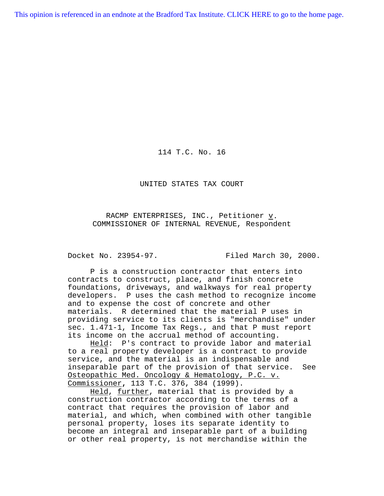[This opinion is referenced in an endnote at the Bradford Tax Institute. CLICK HERE to go to the home page.](http://bradfordtaxinstitute.com/index1.aspx)

114 T.C. No. 16

UNITED STATES TAX COURT

RACMP ENTERPRISES, INC., Petitioner v. COMMISSIONER OF INTERNAL REVENUE, Respondent

Docket No. 23954-97. Filed March 30, 2000.

P is a construction contractor that enters into contracts to construct, place, and finish concrete foundations, driveways, and walkways for real property developers. P uses the cash method to recognize income and to expense the cost of concrete and other materials. R determined that the material P uses in providing service to its clients is "merchandise" under sec. 1.471-1, Income Tax Regs., and that P must report its income on the accrual method of accounting.

Held: P's contract to provide labor and material to a real property developer is a contract to provide service, and the material is an indispensable and inseparable part of the provision of that service. See Osteopathic Med. Oncology & Hematology, P.C. v. Commissioner**,** 113 T.C. 376, 384 (1999).

Held, further, material that is provided by a construction contractor according to the terms of a contract that requires the provision of labor and material, and which, when combined with other tangible personal property, loses its separate identity to become an integral and inseparable part of a building or other real property, is not merchandise within the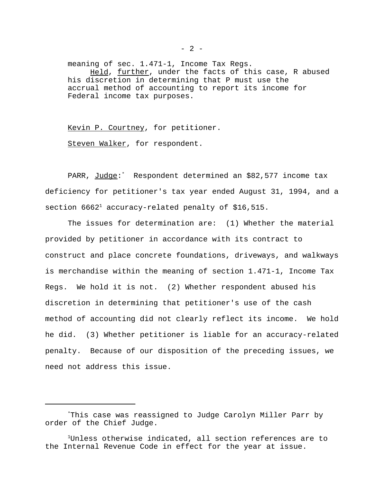meaning of sec. 1.471-1, Income Tax Regs. Held, further, under the facts of this case, R abused his discretion in determining that P must use the accrual method of accounting to report its income for Federal income tax purposes.

Kevin P. Courtney, for petitioner. Steven Walker, for respondent.

PARR, Judge:\* Respondent determined an \$82,577 income tax deficiency for petitioner's tax year ended August 31, 1994, and a section  $6662<sup>1</sup>$  accuracy-related penalty of \$16,515.

The issues for determination are: (1) Whether the material provided by petitioner in accordance with its contract to construct and place concrete foundations, driveways, and walkways is merchandise within the meaning of section 1.471-1, Income Tax Regs. We hold it is not. (2) Whether respondent abused his discretion in determining that petitioner's use of the cash method of accounting did not clearly reflect its income. We hold he did. (3) Whether petitioner is liable for an accuracy-related penalty. Because of our disposition of the preceding issues, we need not address this issue.

<sup>\*</sup>This case was reassigned to Judge Carolyn Miller Parr by order of the Chief Judge.

<sup>1</sup>Unless otherwise indicated, all section references are to the Internal Revenue Code in effect for the year at issue.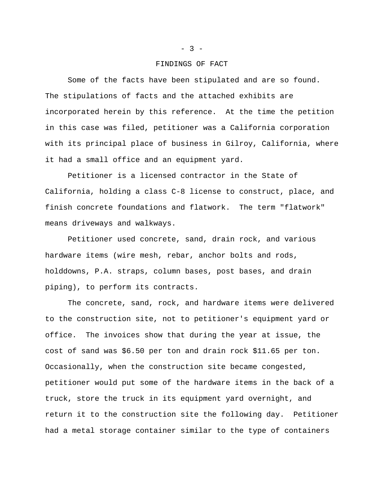#### FINDINGS OF FACT

Some of the facts have been stipulated and are so found. The stipulations of facts and the attached exhibits are incorporated herein by this reference. At the time the petition in this case was filed, petitioner was a California corporation with its principal place of business in Gilroy, California, where it had a small office and an equipment yard.

Petitioner is a licensed contractor in the State of California, holding a class C-8 license to construct, place, and finish concrete foundations and flatwork. The term "flatwork" means driveways and walkways.

Petitioner used concrete, sand, drain rock, and various hardware items (wire mesh, rebar, anchor bolts and rods, holddowns, P.A. straps, column bases, post bases, and drain piping), to perform its contracts.

The concrete, sand, rock, and hardware items were delivered to the construction site, not to petitioner's equipment yard or office. The invoices show that during the year at issue, the cost of sand was \$6.50 per ton and drain rock \$11.65 per ton. Occasionally, when the construction site became congested, petitioner would put some of the hardware items in the back of a truck, store the truck in its equipment yard overnight, and return it to the construction site the following day. Petitioner had a metal storage container similar to the type of containers

### $- 3 -$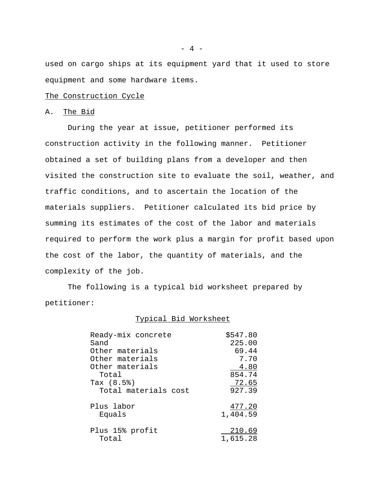used on cargo ships at its equipment yard that it used to store equipment and some hardware items.

### The Construction Cycle

## A. The Bid

During the year at issue, petitioner performed its construction activity in the following manner. Petitioner obtained a set of building plans from a developer and then visited the construction site to evaluate the soil, weather, and traffic conditions, and to ascertain the location of the materials suppliers. Petitioner calculated its bid price by summing its estimates of the cost of the labor and materials required to perform the work plus a margin for profit based upon the cost of the labor, the quantity of materials, and the complexity of the job.

The following is a typical bid worksheet prepared by petitioner:

## Typical Bid Worksheet

| Ready-mix concrete   | \$547.80     |
|----------------------|--------------|
| Sand                 | 225.00       |
| Other materials      | 69.44        |
| Other materials      | 7.70         |
| Other materials      | 4.80         |
| Total                | 854.74       |
| Tax $(8.5)$          | <u>72.65</u> |
| Total materials cost | 927.39       |
| Plus labor           | 477.20       |
| Equals               | 1,404.59     |
| Plus 15% profit      | 210.69       |
| Total                | 1,615.28     |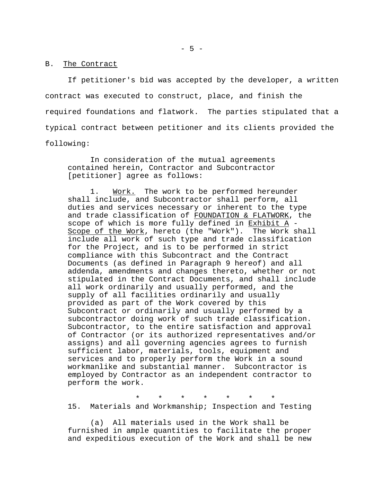### B. The Contract

If petitioner's bid was accepted by the developer, a written contract was executed to construct, place, and finish the required foundations and flatwork. The parties stipulated that a typical contract between petitioner and its clients provided the following:

In consideration of the mutual agreements contained herein, Contractor and Subcontractor [petitioner] agree as follows:

1. Work. The work to be performed hereunder shall include, and Subcontractor shall perform, all duties and services necessary or inherent to the type and trade classification of FOUNDATION & FLATWORK, the scope of which is more fully defined in Exhibit A -Scope of the Work, hereto (the "Work"). The Work shall include all work of such type and trade classification for the Project, and is to be performed in strict compliance with this Subcontract and the Contract Documents (as defined in Paragraph 9 hereof) and all addenda, amendments and changes thereto, whether or not stipulated in the Contract Documents, and shall include all work ordinarily and usually performed, and the supply of all facilities ordinarily and usually provided as part of the Work covered by this Subcontract or ordinarily and usually performed by a subcontractor doing work of such trade classification. Subcontractor, to the entire satisfaction and approval of Contractor (or its authorized representatives and/or assigns) and all governing agencies agrees to furnish sufficient labor, materials, tools, equipment and services and to properly perform the Work in a sound workmanlike and substantial manner. Subcontractor is employed by Contractor as an independent contractor to perform the work.

\* \* \* \* \* \* \* 15. Materials and Workmanship; Inspection and Testing

(a) All materials used in the Work shall be furnished in ample quantities to facilitate the proper and expeditious execution of the Work and shall be new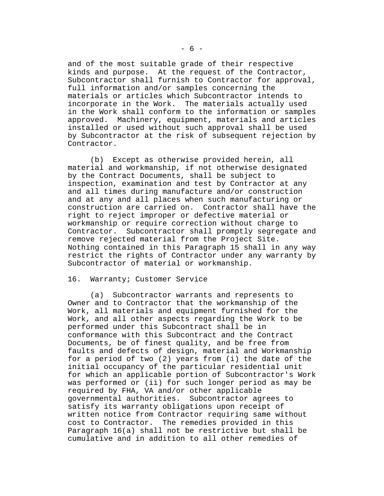and of the most suitable grade of their respective kinds and purpose. At the request of the Contractor, Subcontractor shall furnish to Contractor for approval, full information and/or samples concerning the materials or articles which Subcontractor intends to incorporate in the Work. The materials actually used in the Work shall conform to the information or samples approved. Machinery, equipment, materials and articles installed or used without such approval shall be used by Subcontractor at the risk of subsequent rejection by Contractor.

(b) Except as otherwise provided herein, all material and workmanship, if not otherwise designated by the Contract Documents, shall be subject to inspection, examination and test by Contractor at any and all times during manufacture and/or construction and at any and all places when such manufacturing or construction are carried on. Contractor shall have the right to reject improper or defective material or workmanship or require correction without charge to Contractor. Subcontractor shall promptly segregate and remove rejected material from the Project Site. Nothing contained in this Paragraph 15 shall in any way restrict the rights of Contractor under any warranty by Subcontractor of material or workmanship.

## 16. Warranty; Customer Service

(a) Subcontractor warrants and represents to Owner and to Contractor that the workmanship of the Work, all materials and equipment furnished for the Work, and all other aspects regarding the Work to be performed under this Subcontract shall be in conformance with this Subcontract and the Contract Documents, be of finest quality, and be free from faults and defects of design, material and Workmanship for a period of two (2) years from (i) the date of the initial occupancy of the particular residential unit for which an applicable portion of Subcontractor's Work was performed or (ii) for such longer period as may be required by FHA, VA and/or other applicable governmental authorities. Subcontractor agrees to satisfy its warranty obligations upon receipt of written notice from Contractor requiring same without cost to Contractor. The remedies provided in this Paragraph 16(a) shall not be restrictive but shall be cumulative and in addition to all other remedies of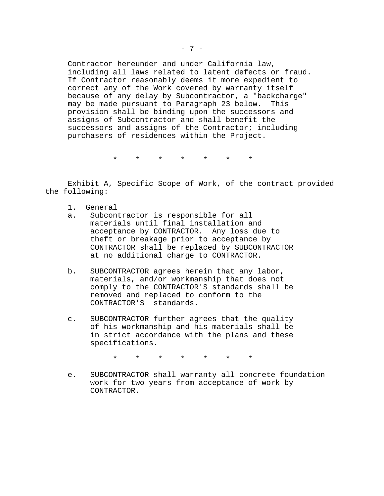Contractor hereunder and under California law, including all laws related to latent defects or fraud. If Contractor reasonably deems it more expedient to correct any of the Work covered by warranty itself because of any delay by Subcontractor, a "backcharge" may be made pursuant to Paragraph 23 below. This provision shall be binding upon the successors and assigns of Subcontractor and shall benefit the successors and assigns of the Contractor; including purchasers of residences within the Project.

\* \* \* \* \* \* \*

Exhibit A, Specific Scope of Work, of the contract provided the following:

- 1. General
- a. Subcontractor is responsible for all materials until final installation and acceptance by CONTRACTOR. Any loss due to theft or breakage prior to acceptance by CONTRACTOR shall be replaced by SUBCONTRACTOR at no additional charge to CONTRACTOR.
- b. SUBCONTRACTOR agrees herein that any labor, materials, and/or workmanship that does not comply to the CONTRACTOR'S standards shall be removed and replaced to conform to the CONTRACTOR'S standards.
- c. SUBCONTRACTOR further agrees that the quality of his workmanship and his materials shall be in strict accordance with the plans and these specifications.

\* \* \* \* \* \* \*

e. SUBCONTRACTOR shall warranty all concrete foundation work for two years from acceptance of work by CONTRACTOR.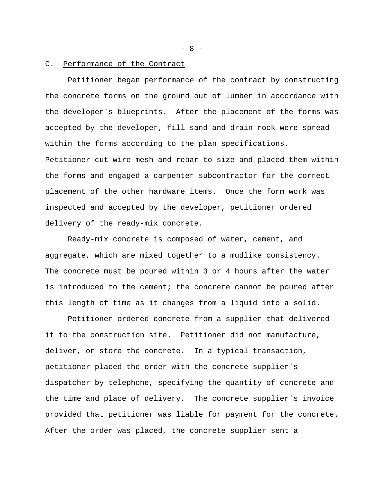### C. Performance of the Contract

Petitioner began performance of the contract by constructing the concrete forms on the ground out of lumber in accordance with the developer's blueprints. After the placement of the forms was accepted by the developer, fill sand and drain rock were spread within the forms according to the plan specifications. Petitioner cut wire mesh and rebar to size and placed them within the forms and engaged a carpenter subcontractor for the correct placement of the other hardware items. Once the form work was inspected and accepted by the developer, petitioner ordered delivery of the ready-mix concrete.

Ready-mix concrete is composed of water, cement, and aggregate, which are mixed together to a mudlike consistency. The concrete must be poured within 3 or 4 hours after the water is introduced to the cement; the concrete cannot be poured after this length of time as it changes from a liquid into a solid.

Petitioner ordered concrete from a supplier that delivered it to the construction site. Petitioner did not manufacture, deliver, or store the concrete. In a typical transaction, petitioner placed the order with the concrete supplier's dispatcher by telephone, specifying the quantity of concrete and the time and place of delivery. The concrete supplier's invoice provided that petitioner was liable for payment for the concrete. After the order was placed, the concrete supplier sent a

- 8 -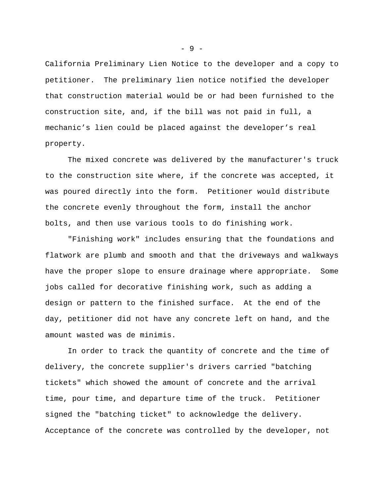California Preliminary Lien Notice to the developer and a copy to petitioner. The preliminary lien notice notified the developer that construction material would be or had been furnished to the construction site, and, if the bill was not paid in full, a mechanic's lien could be placed against the developer's real property.

The mixed concrete was delivered by the manufacturer's truck to the construction site where, if the concrete was accepted, it was poured directly into the form. Petitioner would distribute the concrete evenly throughout the form, install the anchor bolts, and then use various tools to do finishing work.

"Finishing work" includes ensuring that the foundations and flatwork are plumb and smooth and that the driveways and walkways have the proper slope to ensure drainage where appropriate. Some jobs called for decorative finishing work, such as adding a design or pattern to the finished surface. At the end of the day, petitioner did not have any concrete left on hand, and the amount wasted was de minimis.

In order to track the quantity of concrete and the time of delivery, the concrete supplier's drivers carried "batching tickets" which showed the amount of concrete and the arrival time, pour time, and departure time of the truck. Petitioner signed the "batching ticket" to acknowledge the delivery. Acceptance of the concrete was controlled by the developer, not

- 9 -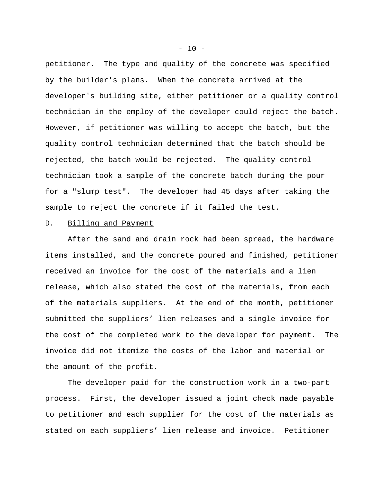petitioner. The type and quality of the concrete was specified by the builder's plans. When the concrete arrived at the developer's building site, either petitioner or a quality control technician in the employ of the developer could reject the batch. However, if petitioner was willing to accept the batch, but the quality control technician determined that the batch should be rejected, the batch would be rejected. The quality control technician took a sample of the concrete batch during the pour for a "slump test". The developer had 45 days after taking the sample to reject the concrete if it failed the test.

## D. Billing and Payment

After the sand and drain rock had been spread, the hardware items installed, and the concrete poured and finished, petitioner received an invoice for the cost of the materials and a lien release, which also stated the cost of the materials, from each of the materials suppliers. At the end of the month, petitioner submitted the suppliers' lien releases and a single invoice for the cost of the completed work to the developer for payment. The invoice did not itemize the costs of the labor and material or the amount of the profit.

The developer paid for the construction work in a two-part process. First, the developer issued a joint check made payable to petitioner and each supplier for the cost of the materials as stated on each suppliers' lien release and invoice. Petitioner

 $- 10 -$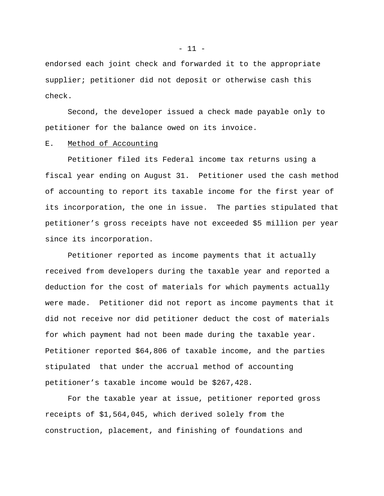endorsed each joint check and forwarded it to the appropriate supplier; petitioner did not deposit or otherwise cash this check.

Second, the developer issued a check made payable only to petitioner for the balance owed on its invoice.

## E. Method of Accounting

Petitioner filed its Federal income tax returns using a fiscal year ending on August 31. Petitioner used the cash method of accounting to report its taxable income for the first year of its incorporation, the one in issue. The parties stipulated that petitioner's gross receipts have not exceeded \$5 million per year since its incorporation.

Petitioner reported as income payments that it actually received from developers during the taxable year and reported a deduction for the cost of materials for which payments actually were made. Petitioner did not report as income payments that it did not receive nor did petitioner deduct the cost of materials for which payment had not been made during the taxable year. Petitioner reported \$64,806 of taxable income, and the parties stipulated that under the accrual method of accounting petitioner's taxable income would be \$267,428.

For the taxable year at issue, petitioner reported gross receipts of \$1,564,045, which derived solely from the construction, placement, and finishing of foundations and

 $-11 -$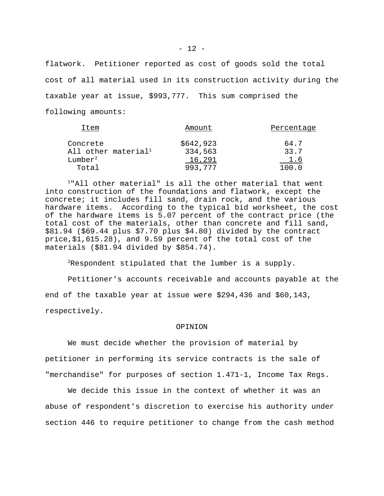flatwork. Petitioner reported as cost of goods sold the total cost of all material used in its construction activity during the taxable year at issue, \$993,777. This sum comprised the following amounts:

| Amount    | Percentage |
|-----------|------------|
| \$642,923 | 64.7       |
| 334,563   | 33.7       |
| 16,291    | 1.6        |
| 993.777   | 100.0      |
|           |            |

<sup>1</sup>"All other material" is all the other material that went into construction of the foundations and flatwork, except the concrete; it includes fill sand, drain rock, and the various hardware items. According to the typical bid worksheet, the cost of the hardware items is 5.07 percent of the contract price (the total cost of the materials, other than concrete and fill sand, \$81.94 (\$69.44 plus \$7.70 plus \$4.80) divided by the contract price,\$1,615.28), and 9.59 percent of the total cost of the materials (\$81.94 divided by \$854.74).

 $2$ Respondent stipulated that the lumber is a supply.

Petitioner's accounts receivable and accounts payable at the end of the taxable year at issue were \$294,436 and \$60,143, respectively.

### OPINION

We must decide whether the provision of material by petitioner in performing its service contracts is the sale of "merchandise" for purposes of section 1.471-1, Income Tax Regs.

We decide this issue in the context of whether it was an abuse of respondent's discretion to exercise his authority under section 446 to require petitioner to change from the cash method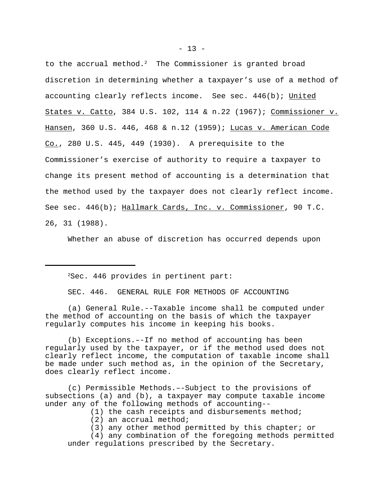to the accrual method. $2$  The Commissioner is granted broad discretion in determining whether a taxpayer's use of a method of accounting clearly reflects income. See sec. 446(b); United States v. Catto, 384 U.S. 102, 114 & n.22 (1967); Commissioner v. Hansen, 360 U.S. 446, 468 & n.12 (1959); Lucas v. American Code  $Co.$ , 280 U.S. 445, 449 (1930). A prerequisite to the Commissioner's exercise of authority to require a taxpayer to change its present method of accounting is a determination that the method used by the taxpayer does not clearly reflect income. See sec. 446(b); Hallmark Cards, Inc. v. Commissioner, 90 T.C. 26, 31 (1988).

Whether an abuse of discretion has occurred depends upon

 $2$ Sec. 446 provides in pertinent part:

SEC. 446. GENERAL RULE FOR METHODS OF ACCOUNTING

(a) General Rule.--Taxable income shall be computed under the method of accounting on the basis of which the taxpayer regularly computes his income in keeping his books.

(b) Exceptions.–-If no method of accounting has been regularly used by the taxpayer, or if the method used does not clearly reflect income, the computation of taxable income shall be made under such method as, in the opinion of the Secretary, does clearly reflect income.

(c) Permissible Methods.–-Subject to the provisions of subsections (a) and (b), a taxpayer may compute taxable income under any of the following methods of accounting--

- (1) the cash receipts and disbursements method;
- (2) an accrual method;
- (3) any other method permitted by this chapter; or

(4) any combination of the foregoing methods permitted under regulations prescribed by the Secretary.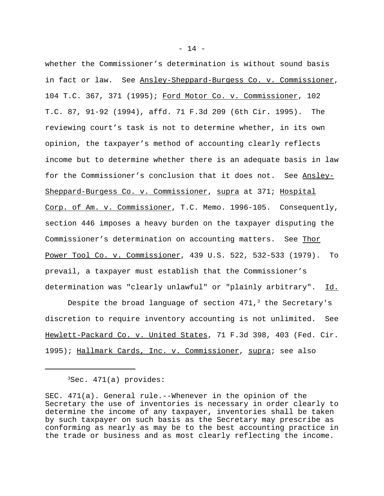whether the Commissioner's determination is without sound basis in fact or law. See Ansley-Sheppard-Burgess Co. v. Commissioner, 104 T.C. 367, 371 (1995); Ford Motor Co. v. Commissioner, 102 T.C. 87, 91-92 (1994), affd. 71 F.3d 209 (6th Cir. 1995). The reviewing court's task is not to determine whether, in its own opinion, the taxpayer's method of accounting clearly reflects income but to determine whether there is an adequate basis in law for the Commissioner's conclusion that it does not. See Ansley-Sheppard-Burgess Co. v. Commissioner, supra at 371; Hospital Corp. of Am. v. Commissioner, T.C. Memo. 1996-105. Consequently, section 446 imposes a heavy burden on the taxpayer disputing the Commissioner's determination on accounting matters. See Thor Power Tool Co. v. Commissioner, 439 U.S. 522, 532-533 (1979). To prevail, a taxpayer must establish that the Commissioner's determination was "clearly unlawful" or "plainly arbitrary". Id.

Despite the broad language of section  $471<sub>1</sub>$ <sup>3</sup> the Secretary's discretion to require inventory accounting is not unlimited. See Hewlett-Packard Co. v. United States, 71 F.3d 398, 403 (Fed. Cir. 1995); Hallmark Cards, Inc. v. Commissioner, supra; see also

 $3$ Sec.  $471(a)$  provides:

SEC. 471(a). General rule.--Whenever in the opinion of the Secretary the use of inventories is necessary in order clearly to determine the income of any taxpayer, inventories shall be taken by such taxpayer on such basis as the Secretary may prescribe as conforming as nearly as may be to the best accounting practice in the trade or business and as most clearly reflecting the income.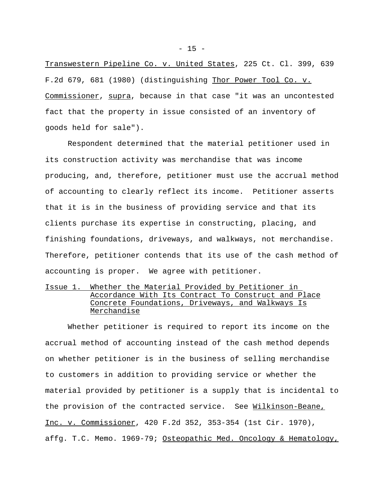Transwestern Pipeline Co. v. United States, 225 Ct. Cl. 399, 639 F.2d 679, 681 (1980) (distinguishing Thor Power Tool Co. v. Commissioner, supra, because in that case "it was an uncontested fact that the property in issue consisted of an inventory of goods held for sale").

Respondent determined that the material petitioner used in its construction activity was merchandise that was income producing, and, therefore, petitioner must use the accrual method of accounting to clearly reflect its income. Petitioner asserts that it is in the business of providing service and that its clients purchase its expertise in constructing, placing, and finishing foundations, driveways, and walkways, not merchandise. Therefore, petitioner contends that its use of the cash method of accounting is proper. We agree with petitioner.

# Issue 1. Whether the Material Provided by Petitioner in Accordance With Its Contract To Construct and Place Concrete Foundations, Driveways, and Walkways Is Merchandise

Whether petitioner is required to report its income on the accrual method of accounting instead of the cash method depends on whether petitioner is in the business of selling merchandise to customers in addition to providing service or whether the material provided by petitioner is a supply that is incidental to the provision of the contracted service. See Wilkinson-Beane, Inc. v. Commissioner, 420 F.2d 352, 353-354 (1st Cir. 1970), affg. T.C. Memo. 1969-79; Osteopathic Med. Oncology & Hematology,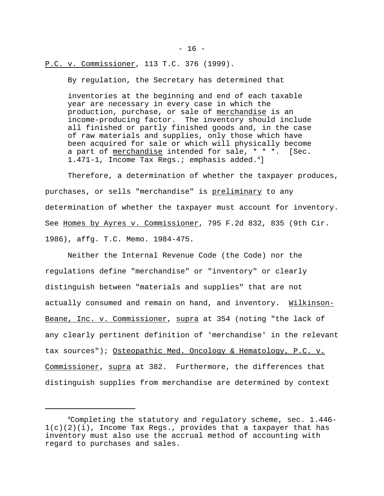P.C. v. Commissioner, 113 T.C. 376 (1999).

By regulation, the Secretary has determined that

inventories at the beginning and end of each taxable year are necessary in every case in which the production, purchase, or sale of merchandise is an income-producing factor. The inventory should include all finished or partly finished goods and, in the case of raw materials and supplies, only those which have been acquired for sale or which will physically become a part of merchandise intended for sale, \* \* \*. [Sec. 1.471-1, Income Tax Reqs.; emphasis added.<sup>4</sup>]

Therefore, a determination of whether the taxpayer produces, purchases, or sells "merchandise" is preliminary to any determination of whether the taxpayer must account for inventory. See Homes by Ayres v. Commissioner, 795 F.2d 832, 835 (9th Cir. 1986), affg. T.C. Memo. 1984-475.

Neither the Internal Revenue Code (the Code) nor the regulations define "merchandise" or "inventory" or clearly distinguish between "materials and supplies" that are not actually consumed and remain on hand, and inventory. Wilkinson-Beane, Inc. v. Commissioner, supra at 354 (noting "the lack of any clearly pertinent definition of 'merchandise' in the relevant tax sources"); Osteopathic Med. Oncology & Hematology, P.C. v. Commissioner, supra at 382. Furthermore, the differences that distinguish supplies from merchandise are determined by context

 $- 16 -$ 

<sup>4</sup>Completing the statutory and regulatory scheme, sec. 1.446-  $1(c)(2)(i)$ , Income Tax Regs., provides that a taxpayer that has inventory must also use the accrual method of accounting with regard to purchases and sales.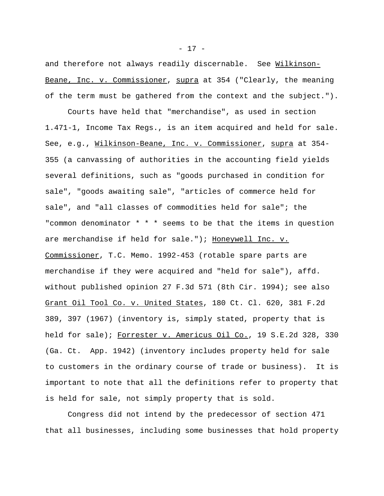and therefore not always readily discernable. See Wilkinson-Beane, Inc. v. Commissioner, supra at 354 ("Clearly, the meaning of the term must be gathered from the context and the subject.").

Courts have held that "merchandise", as used in section 1.471-1, Income Tax Regs., is an item acquired and held for sale. See, e.g., Wilkinson-Beane, Inc. v. Commissioner, supra at 354- 355 (a canvassing of authorities in the accounting field yields several definitions, such as "goods purchased in condition for sale", "goods awaiting sale", "articles of commerce held for sale", and "all classes of commodities held for sale"; the "common denominator \* \* \* seems to be that the items in question are merchandise if held for sale."); Honeywell Inc. v. Commissioner, T.C. Memo. 1992-453 (rotable spare parts are merchandise if they were acquired and "held for sale"), affd. without published opinion 27 F.3d 571 (8th Cir. 1994); see also Grant Oil Tool Co. v. United States, 180 Ct. Cl. 620, 381 F.2d 389, 397 (1967) (inventory is, simply stated, property that is held for sale); Forrester v. Americus Oil Co., 19 S.E.2d 328, 330 (Ga. Ct. App. 1942) (inventory includes property held for sale to customers in the ordinary course of trade or business). It is important to note that all the definitions refer to property that is held for sale, not simply property that is sold.

Congress did not intend by the predecessor of section 471 that all businesses, including some businesses that hold property

- 17 -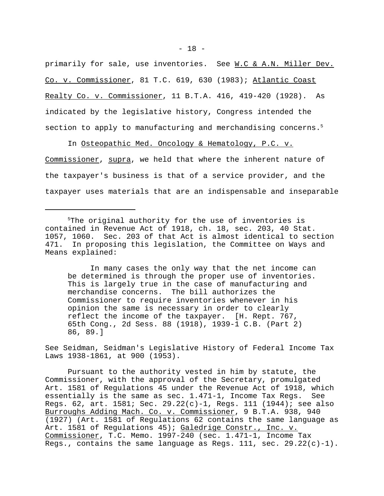primarily for sale, use inventories. See W.C & A.N. Miller Dev. Co. v. Commissioner, 81 T.C. 619, 630 (1983); Atlantic Coast Realty Co. v. Commissioner, 11 B.T.A. 416, 419-420 (1928). As indicated by the legislative history, Congress intended the section to apply to manufacturing and merchandising concerns. $5$ 

In Osteopathic Med. Oncology & Hematology, P.C. v. Commissioner, supra, we held that where the inherent nature of the taxpayer's business is that of a service provider, and the taxpayer uses materials that are an indispensable and inseparable

In many cases the only way that the net income can be determined is through the proper use of inventories. This is largely true in the case of manufacturing and merchandise concerns. The bill authorizes the Commissioner to require inventories whenever in his opinion the same is necessary in order to clearly reflect the income of the taxpayer. [H. Rept. 767, 65th Cong., 2d Sess. 88 (1918), 1939-1 C.B. (Part 2) 86, 89.]

See Seidman, Seidman's Legislative History of Federal Income Tax Laws 1938-1861, at 900 (1953).

Pursuant to the authority vested in him by statute, the Commissioner, with the approval of the Secretary, promulgated Art. 1581 of Regulations 45 under the Revenue Act of 1918, which essentially is the same as sec. 1.471-1, Income Tax Regs. See Regs. 62, art. 1581; Sec. 29.22(c)-1, Regs. 111 (1944); see also Burroughs Adding Mach. Co. v. Commissioner, 9 B.T.A. 938, 940 (1927) (Art. 1581 of Regulations 62 contains the same language as Art. 1581 of Regulations 45); Galedrige Constr., Inc. v. Commissioner, T.C. Memo. 1997-240 (sec. 1.471-1, Income Tax Regs., contains the same language as Regs. 111, sec.  $29.22(c)-1$ ).

<sup>&</sup>lt;sup>5</sup>The original authority for the use of inventories is contained in Revenue Act of 1918, ch. 18, sec. 203, 40 Stat. 1057, 1060. Sec. 203 of that Act is almost identical to section 471. In proposing this legislation, the Committee on Ways and Means explained: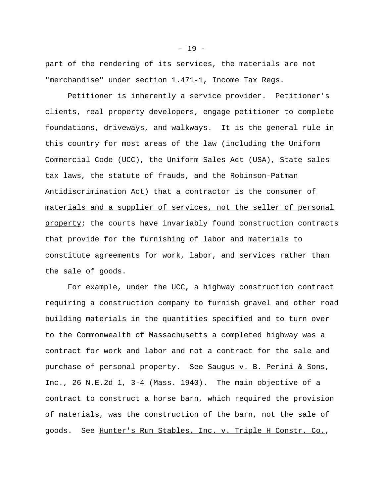part of the rendering of its services, the materials are not "merchandise" under section 1.471-1, Income Tax Regs.

Petitioner is inherently a service provider. Petitioner's clients, real property developers, engage petitioner to complete foundations, driveways, and walkways. It is the general rule in this country for most areas of the law (including the Uniform Commercial Code (UCC), the Uniform Sales Act (USA), State sales tax laws, the statute of frauds, and the Robinson-Patman Antidiscrimination Act) that a contractor is the consumer of materials and a supplier of services, not the seller of personal property; the courts have invariably found construction contracts that provide for the furnishing of labor and materials to constitute agreements for work, labor, and services rather than the sale of goods.

For example, under the UCC, a highway construction contract requiring a construction company to furnish gravel and other road building materials in the quantities specified and to turn over to the Commonwealth of Massachusetts a completed highway was a contract for work and labor and not a contract for the sale and purchase of personal property. See Sauqus v. B. Perini & Sons, Inc., 26 N.E.2d 1, 3-4 (Mass. 1940). The main objective of a contract to construct a horse barn, which required the provision of materials, was the construction of the barn, not the sale of goods. See Hunter's Run Stables, Inc. v. Triple H Constr. Co.,

 $- 19 -$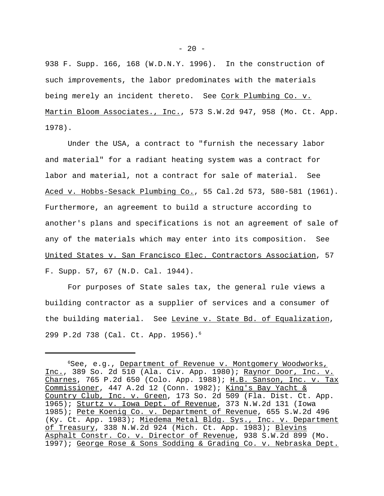938 F. Supp. 166, 168 (W.D.N.Y. 1996). In the construction of such improvements, the labor predominates with the materials being merely an incident thereto. See Cork Plumbing Co. v. Martin Bloom Associates., Inc., 573 S.W.2d 947, 958 (Mo. Ct. App. 1978).

Under the USA, a contract to "furnish the necessary labor and material" for a radiant heating system was a contract for labor and material, not a contract for sale of material. See Aced v. Hobbs-Sesack Plumbing Co., 55 Cal.2d 573, 580-581 (1961). Furthermore, an agreement to build a structure according to another's plans and specifications is not an agreement of sale of any of the materials which may enter into its composition. See United States v. San Francisco Elec. Contractors Association, 57 F. Supp. 57, 67 (N.D. Cal. 1944).

For purposes of State sales tax, the general rule views a building contractor as a supplier of services and a consumer of the building material. See Levine v. State Bd. of Equalization, 299 P.2d 738 (Cal. Ct. App. 1956).6

<sup>&</sup>lt;sup>6</sup>See, e.g., Department of Revenue v. Montgomery Woodworks, Inc., 389 So. 2d 510 (Ala. Civ. App. 1980); Raynor Door, Inc. v. Charnes, 765 P.2d 650 (Colo. App. 1988); H.B. Sanson, Inc. v. Tax Commissioner, 447 A.2d 12 (Conn. 1982); King's Bay Yacht & Country Club, Inc. v. Green, 173 So. 2d 509 (Fla. Dist. Ct. App. 1965); Sturtz v. Iowa Dept. of Revenue, 373 N.W.2d 131 (Iowa 1985); Pete Koenig Co. v. Department of Revenue, 655 S.W.2d 496 (Ky. Ct. App. 1983); Miedema Metal Bldg. Sys., Inc. v. Department of Treasury, 338 N.W.2d 924 (Mich. Ct. App. 1983); Blevins Asphalt Constr. Co. v. Director of Revenue, 938 S.W.2d 899 (Mo. 1997); George Rose & Sons Sodding & Grading Co. v. Nebraska Dept.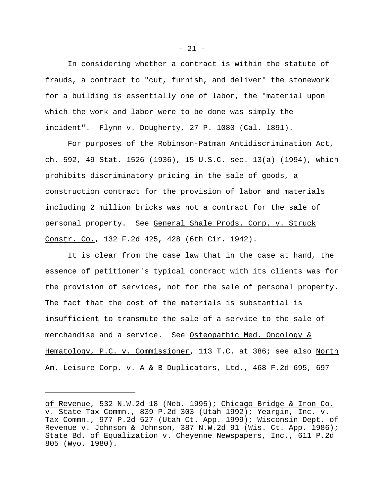In considering whether a contract is within the statute of frauds, a contract to "cut, furnish, and deliver" the stonework for a building is essentially one of labor, the "material upon which the work and labor were to be done was simply the incident". Flynn v. Dougherty, 27 P. 1080 (Cal. 1891).

For purposes of the Robinson-Patman Antidiscrimination Act, ch. 592, 49 Stat. 1526 (1936), 15 U.S.C. sec. 13(a) (1994), which prohibits discriminatory pricing in the sale of goods, a construction contract for the provision of labor and materials including 2 million bricks was not a contract for the sale of personal property. See General Shale Prods. Corp. v. Struck Constr. Co., 132 F.2d 425, 428 (6th Cir. 1942).

It is clear from the case law that in the case at hand, the essence of petitioner's typical contract with its clients was for the provision of services, not for the sale of personal property. The fact that the cost of the materials is substantial is insufficient to transmute the sale of a service to the sale of merchandise and a service. See Osteopathic Med. Oncology & Hematology, P.C. v. Commissioner**,** 113 T.C. at 386; see also North Am. Leisure Corp. v. A & B Duplicators, Ltd., 468 F.2d 695, 697

of Revenue, 532 N.W.2d 18 (Neb. 1995); Chicago Bridge & Iron Co. v. State Tax Commn., 839 P.2d 303 (Utah 1992); Yeargin, Inc. v. Tax Commn., 977 P.2d 527 (Utah Ct. App. 1999); Wisconsin Dept. of Revenue v. Johnson & Johnson, 387 N.W.2d 91 (Wis. Ct. App. 1986); State Bd. of Equalization v. Cheyenne Newspapers, Inc., 611 P.2d 805 (Wyo. 1980).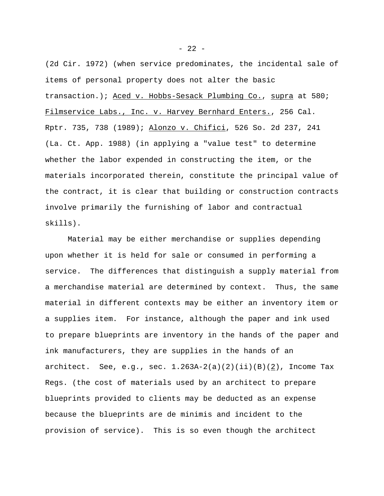(2d Cir. 1972) (when service predominates, the incidental sale of items of personal property does not alter the basic transaction.); Aced v. Hobbs-Sesack Plumbing Co., supra at 580; Filmservice Labs., Inc. v. Harvey Bernhard Enters., 256 Cal. Rptr. 735, 738 (1989); Alonzo v. Chifici, 526 So. 2d 237, 241 (La. Ct. App. 1988) (in applying a "value test" to determine whether the labor expended in constructing the item, or the materials incorporated therein, constitute the principal value of the contract, it is clear that building or construction contracts involve primarily the furnishing of labor and contractual skills).

Material may be either merchandise or supplies depending upon whether it is held for sale or consumed in performing a service. The differences that distinguish a supply material from a merchandise material are determined by context. Thus, the same material in different contexts may be either an inventory item or a supplies item. For instance, although the paper and ink used to prepare blueprints are inventory in the hands of the paper and ink manufacturers, they are supplies in the hands of an architect. See, e.g., sec.  $1.263A-2(a)(2)(ii)(B)(2)$ , Income Tax Regs. (the cost of materials used by an architect to prepare blueprints provided to clients may be deducted as an expense because the blueprints are de minimis and incident to the provision of service). This is so even though the architect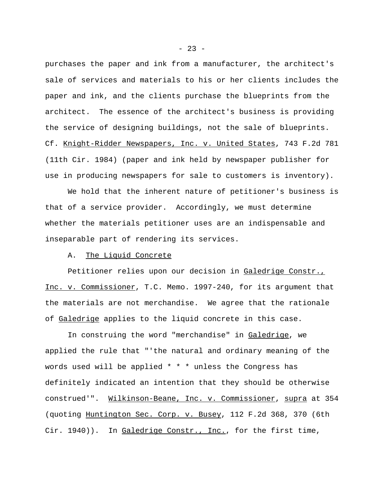purchases the paper and ink from a manufacturer, the architect's sale of services and materials to his or her clients includes the paper and ink, and the clients purchase the blueprints from the architect. The essence of the architect's business is providing the service of designing buildings, not the sale of blueprints. Cf. Knight-Ridder Newspapers, Inc. v. United States, 743 F.2d 781 (11th Cir. 1984) (paper and ink held by newspaper publisher for use in producing newspapers for sale to customers is inventory).

We hold that the inherent nature of petitioner's business is that of a service provider. Accordingly, we must determine whether the materials petitioner uses are an indispensable and inseparable part of rendering its services.

## A. The Liquid Concrete

Petitioner relies upon our decision in Galedrige Constr., Inc. v. Commissioner, T.C. Memo. 1997-240, for its argument that the materials are not merchandise. We agree that the rationale of Galedrige applies to the liquid concrete in this case.

In construing the word "merchandise" in Galedrige, we applied the rule that "'the natural and ordinary meaning of the words used will be applied \* \* \* unless the Congress has definitely indicated an intention that they should be otherwise construed'". Wilkinson-Beane, Inc. v. Commissioner, supra at 354 (quoting Huntington Sec. Corp. v. Busey, 112 F.2d 368, 370 (6th Cir. 1940)). In Galedrige Constr., Inc., for the first time,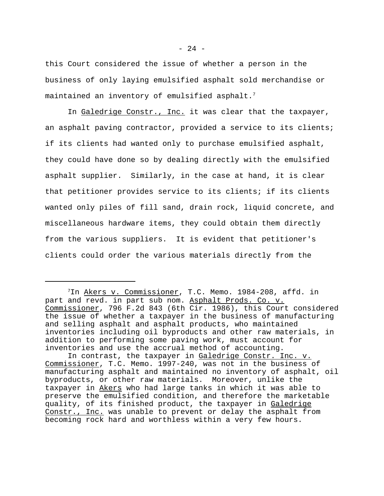this Court considered the issue of whether a person in the business of only laying emulsified asphalt sold merchandise or maintained an inventory of emulsified asphalt.<sup>7</sup>

In Galedrige Constr., Inc. it was clear that the taxpayer, an asphalt paving contractor, provided a service to its clients; if its clients had wanted only to purchase emulsified asphalt, they could have done so by dealing directly with the emulsified asphalt supplier. Similarly, in the case at hand, it is clear that petitioner provides service to its clients; if its clients wanted only piles of fill sand, drain rock, liquid concrete, and miscellaneous hardware items, they could obtain them directly from the various suppliers. It is evident that petitioner's clients could order the various materials directly from the

<sup>7</sup>In Akers v. Commissioner, T.C. Memo. 1984-208, affd. in part and revd. in part sub nom. Asphalt Prods. Co. v. Commissioner, 796 F.2d 843 (6th Cir. 1986), this Court considered the issue of whether a taxpayer in the business of manufacturing and selling asphalt and asphalt products, who maintained inventories including oil byproducts and other raw materials, in addition to performing some paving work, must account for inventories and use the accrual method of accounting.

In contrast, the taxpayer in Galedrige Constr. Inc. v. Commissioner, T.C. Memo. 1997-240, was not in the business of manufacturing asphalt and maintained no inventory of asphalt, oil byproducts, or other raw materials. Moreover, unlike the taxpayer in Akers who had large tanks in which it was able to preserve the emulsified condition, and therefore the marketable quality, of its finished product, the taxpayer in Galedrige Constr., Inc. was unable to prevent or delay the asphalt from becoming rock hard and worthless within a very few hours.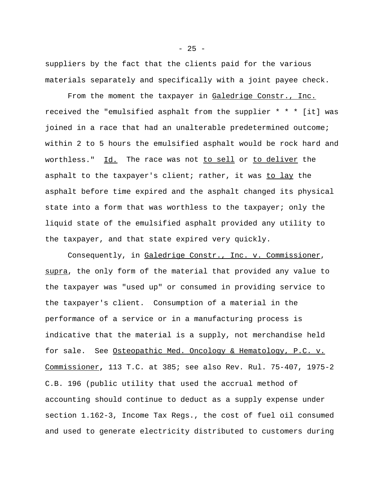suppliers by the fact that the clients paid for the various materials separately and specifically with a joint payee check.

From the moment the taxpayer in Galedrige Constr., Inc. received the "emulsified asphalt from the supplier  $* * *$  [it] was joined in a race that had an unalterable predetermined outcome; within 2 to 5 hours the emulsified asphalt would be rock hard and worthless." Id. The race was not to sell or to deliver the asphalt to the taxpayer's client; rather, it was to lay the asphalt before time expired and the asphalt changed its physical state into a form that was worthless to the taxpayer; only the liquid state of the emulsified asphalt provided any utility to the taxpayer, and that state expired very quickly.

Consequently, in Galedrige Constr., Inc. v. Commissioner, supra, the only form of the material that provided any value to the taxpayer was "used up" or consumed in providing service to the taxpayer's client. Consumption of a material in the performance of a service or in a manufacturing process is indicative that the material is a supply, not merchandise held for sale. See Osteopathic Med. Oncology & Hematology, P.C. v. Commissioner**,** 113 T.C. at 385; see also Rev. Rul. 75-407, 1975-2 C.B. 196 (public utility that used the accrual method of accounting should continue to deduct as a supply expense under section 1.162-3, Income Tax Regs., the cost of fuel oil consumed and used to generate electricity distributed to customers during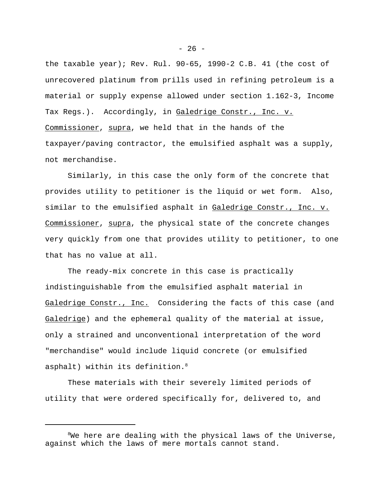the taxable year); Rev. Rul. 90-65, 1990-2 C.B. 41 (the cost of unrecovered platinum from prills used in refining petroleum is a material or supply expense allowed under section 1.162-3, Income Tax Regs.). Accordingly, in Galedrige Constr., Inc. v. Commissioner, supra, we held that in the hands of the taxpayer/paving contractor, the emulsified asphalt was a supply, not merchandise.

Similarly, in this case the only form of the concrete that provides utility to petitioner is the liquid or wet form. Also, similar to the emulsified asphalt in Galedrige Constr., Inc. v. Commissioner, supra, the physical state of the concrete changes very quickly from one that provides utility to petitioner, to one that has no value at all.

The ready-mix concrete in this case is practically indistinguishable from the emulsified asphalt material in Galedrige Constr., Inc. Considering the facts of this case (and Galedrige) and the ephemeral quality of the material at issue, only a strained and unconventional interpretation of the word "merchandise" would include liquid concrete (or emulsified asphalt) within its definition.<sup>8</sup>

These materials with their severely limited periods of utility that were ordered specifically for, delivered to, and

 $- 26 -$ 

 $8$ We here are dealing with the physical laws of the Universe, against which the laws of mere mortals cannot stand.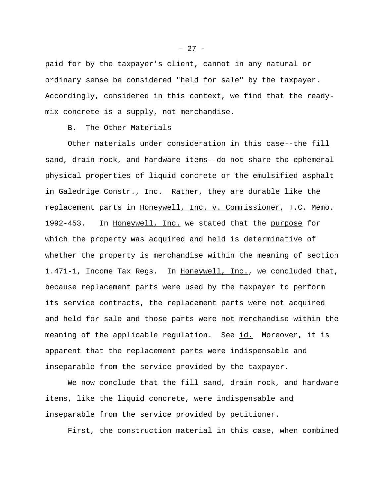paid for by the taxpayer's client, cannot in any natural or ordinary sense be considered "held for sale" by the taxpayer. Accordingly, considered in this context, we find that the readymix concrete is a supply, not merchandise.

## B. The Other Materials

Other materials under consideration in this case--the fill sand, drain rock, and hardware items--do not share the ephemeral physical properties of liquid concrete or the emulsified asphalt in Galedrige Constr., Inc. Rather, they are durable like the replacement parts in Honeywell, Inc. v. Commissioner, T.C. Memo. 1992-453. In Honeywell, Inc. we stated that the purpose for which the property was acquired and held is determinative of whether the property is merchandise within the meaning of section 1.471-1, Income Tax Regs. In Honeywell, Inc., we concluded that, because replacement parts were used by the taxpayer to perform its service contracts, the replacement parts were not acquired and held for sale and those parts were not merchandise within the meaning of the applicable regulation. See id. Moreover, it is apparent that the replacement parts were indispensable and inseparable from the service provided by the taxpayer.

We now conclude that the fill sand, drain rock, and hardware items, like the liquid concrete, were indispensable and inseparable from the service provided by petitioner.

First, the construction material in this case, when combined

- 27 -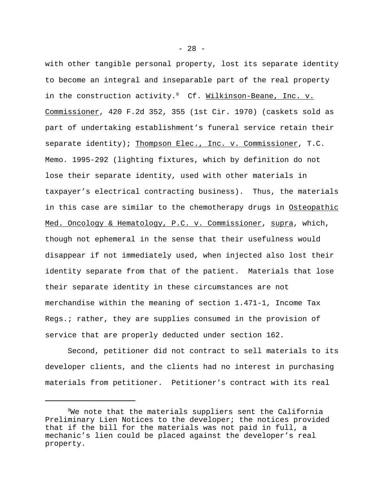with other tangible personal property, lost its separate identity to become an integral and inseparable part of the real property in the construction activity.<sup>9</sup> Cf. Wilkinson-Beane, Inc. v. Commissioner, 420 F.2d 352, 355 (1st Cir. 1970) (caskets sold as part of undertaking establishment's funeral service retain their separate identity); Thompson Elec., Inc. v. Commissioner, T.C. Memo. 1995-292 (lighting fixtures, which by definition do not lose their separate identity, used with other materials in taxpayer's electrical contracting business). Thus, the materials in this case are similar to the chemotherapy drugs in Osteopathic Med. Oncology & Hematology, P.C. v. Commissioner, supra, which, though not ephemeral in the sense that their usefulness would disappear if not immediately used, when injected also lost their identity separate from that of the patient. Materials that lose their separate identity in these circumstances are not merchandise within the meaning of section 1.471-1, Income Tax Regs.; rather, they are supplies consumed in the provision of service that are properly deducted under section 162.

Second, petitioner did not contract to sell materials to its developer clients, and the clients had no interest in purchasing materials from petitioner. Petitioner's contract with its real

 $- 28 -$ 

 $9$ We note that the materials suppliers sent the California Preliminary Lien Notices to the developer; the notices provided that if the bill for the materials was not paid in full, a mechanic's lien could be placed against the developer's real property.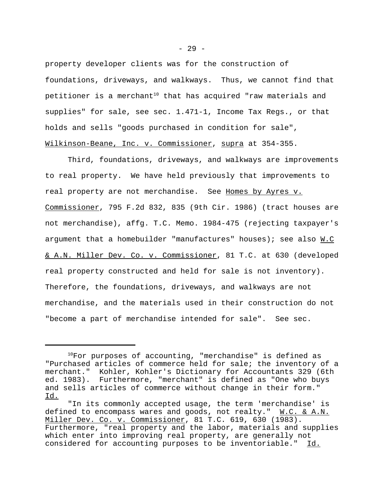property developer clients was for the construction of foundations, driveways, and walkways. Thus, we cannot find that petitioner is a merchant<sup>10</sup> that has acquired "raw materials and supplies" for sale, see sec. 1.471-1, Income Tax Regs., or that holds and sells "goods purchased in condition for sale", Wilkinson-Beane, Inc. v. Commissioner, supra at 354-355.

Third, foundations, driveways, and walkways are improvements to real property. We have held previously that improvements to real property are not merchandise. See Homes by Ayres v. Commissioner, 795 F.2d 832, 835 (9th Cir. 1986) (tract houses are not merchandise), affg. T.C. Memo. 1984-475 (rejecting taxpayer's argument that a homebuilder "manufactures" houses); see also  $M.C$ & A.N. Miller Dev. Co. v. Commissioner, 81 T.C. at 630 (developed real property constructed and held for sale is not inventory). Therefore, the foundations, driveways, and walkways are not merchandise, and the materials used in their construction do not "become a part of merchandise intended for sale". See sec.

 $10$ For purposes of accounting, "merchandise" is defined as "Purchased articles of commerce held for sale; the inventory of a merchant." Kohler, Kohler's Dictionary for Accountants 329 (6th ed. 1983). Furthermore, "merchant" is defined as "One who buys and sells articles of commerce without change in their form." <u>Id.</u>

<sup>&</sup>quot;In its commonly accepted usage, the term 'merchandise' is defined to encompass wares and goods, not realty."  $M.C.$  & A.N. Miller Dev. Co. v. Commissioner, 81 T.C. 619, 630 (1983). Furthermore, "real property and the labor, materials and supplies which enter into improving real property, are generally not considered for accounting purposes to be inventoriable." Id.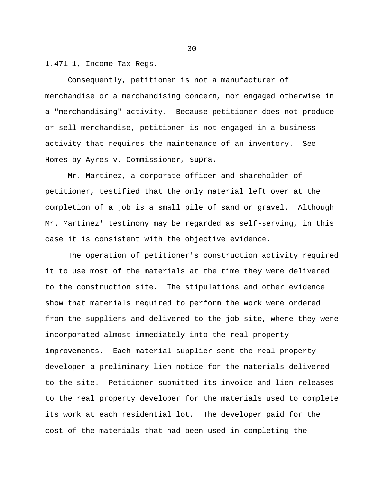1.471-1, Income Tax Regs.

Consequently, petitioner is not a manufacturer of merchandise or a merchandising concern, nor engaged otherwise in a "merchandising" activity. Because petitioner does not produce or sell merchandise, petitioner is not engaged in a business activity that requires the maintenance of an inventory. See Homes by Ayres v. Commissioner, supra.

Mr. Martinez, a corporate officer and shareholder of petitioner, testified that the only material left over at the completion of a job is a small pile of sand or gravel. Although Mr. Martinez' testimony may be regarded as self-serving, in this case it is consistent with the objective evidence.

The operation of petitioner's construction activity required it to use most of the materials at the time they were delivered to the construction site. The stipulations and other evidence show that materials required to perform the work were ordered from the suppliers and delivered to the job site, where they were incorporated almost immediately into the real property improvements. Each material supplier sent the real property developer a preliminary lien notice for the materials delivered to the site. Petitioner submitted its invoice and lien releases to the real property developer for the materials used to complete its work at each residential lot. The developer paid for the cost of the materials that had been used in completing the

 $- 30 -$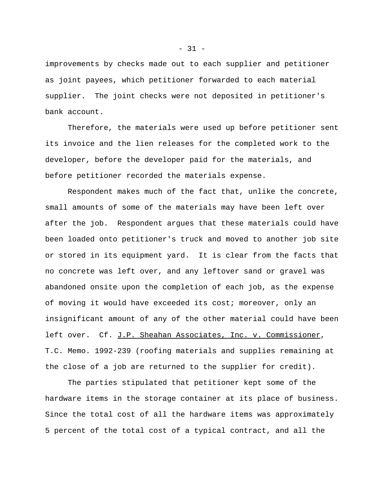improvements by checks made out to each supplier and petitioner as joint payees, which petitioner forwarded to each material supplier. The joint checks were not deposited in petitioner's bank account.

Therefore, the materials were used up before petitioner sent its invoice and the lien releases for the completed work to the developer, before the developer paid for the materials, and before petitioner recorded the materials expense.

Respondent makes much of the fact that, unlike the concrete, small amounts of some of the materials may have been left over after the job. Respondent argues that these materials could have been loaded onto petitioner's truck and moved to another job site or stored in its equipment yard. It is clear from the facts that no concrete was left over, and any leftover sand or gravel was abandoned onsite upon the completion of each job, as the expense of moving it would have exceeded its cost; moreover, only an insignificant amount of any of the other material could have been left over. Cf. J.P. Sheahan Associates, Inc. v. Commissioner, T.C. Memo. 1992-239 (roofing materials and supplies remaining at the close of a job are returned to the supplier for credit).

The parties stipulated that petitioner kept some of the hardware items in the storage container at its place of business. Since the total cost of all the hardware items was approximately 5 percent of the total cost of a typical contract, and all the

 $-31 -$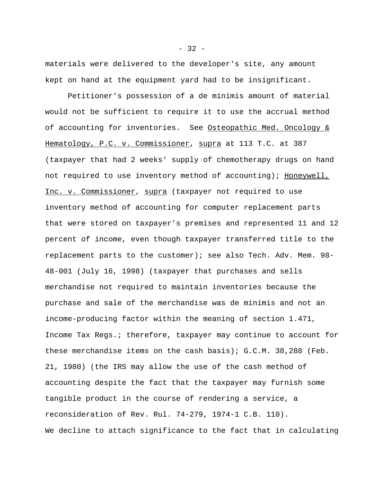materials were delivered to the developer's site, any amount kept on hand at the equipment yard had to be insignificant.

Petitioner's possession of a de minimis amount of material would not be sufficient to require it to use the accrual method of accounting for inventories. See Osteopathic Med. Oncology  $&$ Hematology, P.C. v. Commissioner, supra at 113 T.C. at 387 (taxpayer that had 2 weeks' supply of chemotherapy drugs on hand not required to use inventory method of accounting); Honeywell, Inc. v. Commissioner, supra (taxpayer not required to use inventory method of accounting for computer replacement parts that were stored on taxpayer's premises and represented 11 and 12 percent of income, even though taxpayer transferred title to the replacement parts to the customer); see also Tech. Adv. Mem. 98- 48-001 (July 16, 1998) (taxpayer that purchases and sells merchandise not required to maintain inventories because the purchase and sale of the merchandise was de minimis and not an income-producing factor within the meaning of section 1.471, Income Tax Regs.; therefore, taxpayer may continue to account for these merchandise items on the cash basis); G.C.M. 38,288 (Feb. 21, 1980) (the IRS may allow the use of the cash method of accounting despite the fact that the taxpayer may furnish some tangible product in the course of rendering a service, a reconsideration of Rev. Rul. 74-279, 1974-1 C.B. 110). We decline to attach significance to the fact that in calculating

 $-32 -$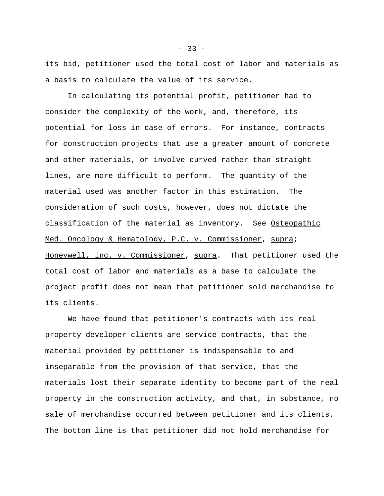its bid, petitioner used the total cost of labor and materials as a basis to calculate the value of its service.

In calculating its potential profit, petitioner had to consider the complexity of the work, and, therefore, its potential for loss in case of errors. For instance, contracts for construction projects that use a greater amount of concrete and other materials, or involve curved rather than straight lines, are more difficult to perform. The quantity of the material used was another factor in this estimation. The consideration of such costs, however, does not dictate the classification of the material as inventory. See Osteopathic Med. Oncology & Hematology, P.C. v. Commissioner, supra; Honeywell, Inc. v. Commissioner, supra. That petitioner used the total cost of labor and materials as a base to calculate the project profit does not mean that petitioner sold merchandise to its clients.

We have found that petitioner's contracts with its real property developer clients are service contracts, that the material provided by petitioner is indispensable to and inseparable from the provision of that service, that the materials lost their separate identity to become part of the real property in the construction activity, and that, in substance, no sale of merchandise occurred between petitioner and its clients. The bottom line is that petitioner did not hold merchandise for

 $-33 -$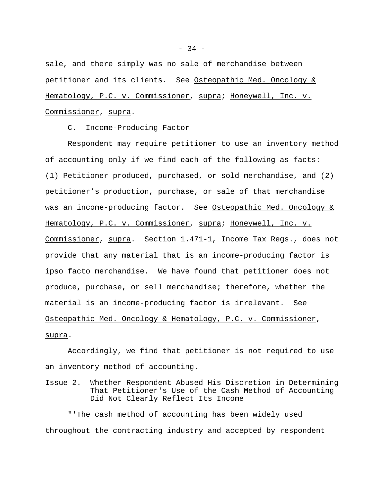sale, and there simply was no sale of merchandise between petitioner and its clients. See Osteopathic Med. Oncology & Hematology, P.C. v. Commissioner, supra; Honeywell, Inc. v. Commissioner, supra.

C. Income-Producing Factor

Respondent may require petitioner to use an inventory method of accounting only if we find each of the following as facts: (1) Petitioner produced, purchased, or sold merchandise, and (2) petitioner's production, purchase, or sale of that merchandise was an income-producing factor. See Osteopathic Med. Oncology & Hematology, P.C. v. Commissioner, supra; Honeywell, Inc. v. Commissioner, supra. Section 1.471-1, Income Tax Regs., does not provide that any material that is an income-producing factor is ipso facto merchandise. We have found that petitioner does not produce, purchase, or sell merchandise; therefore, whether the material is an income-producing factor is irrelevant. See Osteopathic Med. Oncology & Hematology, P.C. v. Commissioner, supra.

Accordingly, we find that petitioner is not required to use an inventory method of accounting.

# Issue 2. Whether Respondent Abused His Discretion in Determining That Petitioner's Use of the Cash Method of Accounting Did Not Clearly Reflect Its Income

"'The cash method of accounting has been widely used throughout the contracting industry and accepted by respondent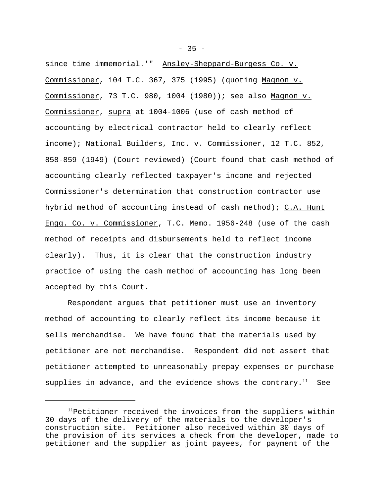since time immemorial.'" Ansley-Sheppard-Burgess Co. v. Commissioner, 104 T.C. 367, 375 (1995) (quoting Magnon v. Commissioner, 73 T.C. 980, 1004 (1980)); see also Magnon v. Commissioner, supra at 1004-1006 (use of cash method of accounting by electrical contractor held to clearly reflect income); National Builders, Inc. v. Commissioner, 12 T.C. 852, 858-859 (1949) (Court reviewed) (Court found that cash method of accounting clearly reflected taxpayer's income and rejected Commissioner's determination that construction contractor use hybrid method of accounting instead of cash method); C.A. Hunt Engg. Co. v. Commissioner, T.C. Memo. 1956-248 (use of the cash method of receipts and disbursements held to reflect income clearly). Thus, it is clear that the construction industry practice of using the cash method of accounting has long been accepted by this Court.

Respondent argues that petitioner must use an inventory method of accounting to clearly reflect its income because it sells merchandise. We have found that the materials used by petitioner are not merchandise. Respondent did not assert that petitioner attempted to unreasonably prepay expenses or purchase supplies in advance, and the evidence shows the contrary.<sup>11</sup> See

 $-35 -$ 

 $11$ Petitioner received the invoices from the suppliers within 30 days of the delivery of the materials to the developer's construction site. Petitioner also received within 30 days of the provision of its services a check from the developer, made to petitioner and the supplier as joint payees, for payment of the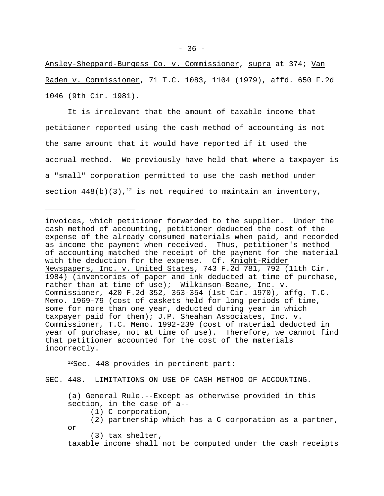Ansley-Sheppard-Burgess Co. v. Commissioner, supra at 374; Van Raden v. Commissioner, 71 T.C. 1083, 1104 (1979), affd. 650 F.2d 1046 (9th Cir. 1981).

It is irrelevant that the amount of taxable income that petitioner reported using the cash method of accounting is not the same amount that it would have reported if it used the accrual method. We previously have held that where a taxpayer is a "small" corporation permitted to use the cash method under section  $448(b)(3)$ ,<sup>12</sup> is not required to maintain an inventory,

invoices, which petitioner forwarded to the supplier. Under the cash method of accounting, petitioner deducted the cost of the expense of the already consumed materials when paid, and recorded as income the payment when received. Thus, petitioner's method of accounting matched the receipt of the payment for the material with the deduction for the expense. Cf. Knight-Ridder Newspapers, Inc. v. United States, 743 F.2d 781, 792 (11th Cir. 1984) (inventories of paper and ink deducted at time of purchase, rather than at time of use); Wilkinson-Beane, Inc. v. Commissioner, 420 F.2d 352, 353-354 (1st Cir. 1970), affg. T.C. Memo. 1969-79 (cost of caskets held for long periods of time, some for more than one year, deducted during year in which taxpayer paid for them); J.P. Sheahan Associates, Inc. v. Commissioner, T.C. Memo. 1992-239 (cost of material deducted in year of purchase, not at time of use). Therefore, we cannot find that petitioner accounted for the cost of the materials incorrectly.

 $12$ Sec. 448 provides in pertinent part:

SEC. 448. LIMITATIONS ON USE OF CASH METHOD OF ACCOUNTING.

(a) General Rule.--Except as otherwise provided in this section, in the case of a--

- (1) C corporation,
- (2) partnership which has a C corporation as a partner, or

(3) tax shelter,

taxable income shall not be computed under the cash receipts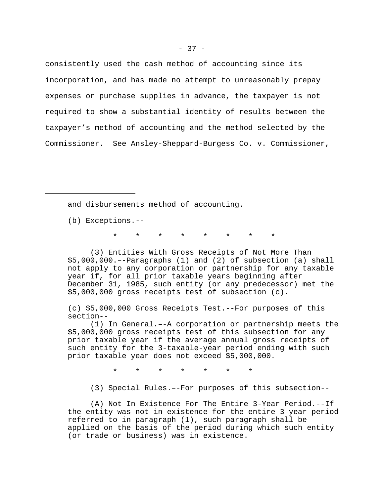consistently used the cash method of accounting since its incorporation, and has made no attempt to unreasonably prepay expenses or purchase supplies in advance, the taxpayer is not required to show a substantial identity of results between the taxpayer's method of accounting and the method selected by the Commissioner. See Ansley-Sheppard-Burgess Co. v. Commissioner,

and disbursements method of accounting.

(b) Exceptions.--

\* \* \* \* \* \* \* \*

(3) Entities With Gross Receipts of Not More Than \$5,000,000.–-Paragraphs (1) and (2) of subsection (a) shall not apply to any corporation or partnership for any taxable year if, for all prior taxable years beginning after December 31, 1985, such entity (or any predecessor) met the \$5,000,000 gross receipts test of subsection (c).

(c) \$5,000,000 Gross Receipts Test.--For purposes of this section--

(1) In General.–-A corporation or partnership meets the \$5,000,000 gross receipts test of this subsection for any prior taxable year if the average annual gross receipts of such entity for the 3-taxable-year period ending with such prior taxable year does not exceed \$5,000,000.

\* \* \* \* \* \* \*

(3) Special Rules.–-For purposes of this subsection--

(A) Not In Existence For The Entire 3-Year Period.--If the entity was not in existence for the entire 3-year period referred to in paragraph (1), such paragraph shall be applied on the basis of the period during which such entity (or trade or business) was in existence.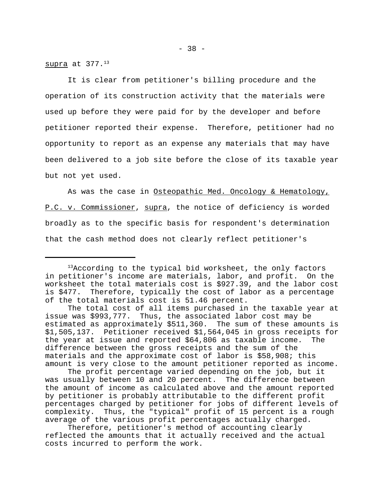supra at  $377.13$ 

It is clear from petitioner's billing procedure and the operation of its construction activity that the materials were used up before they were paid for by the developer and before petitioner reported their expense. Therefore, petitioner had no opportunity to report as an expense any materials that may have been delivered to a job site before the close of its taxable year but not yet used.

As was the case in Osteopathic Med. Oncology & Hematology, P.C. v. Commissioner, supra, the notice of deficiency is worded broadly as to the specific basis for respondent's determination that the cash method does not clearly reflect petitioner's

<sup>&</sup>lt;sup>13</sup>According to the typical bid worksheet, the only factors in petitioner's income are materials, labor, and profit. On the worksheet the total materials cost is \$927.39, and the labor cost is \$477. Therefore, typically the cost of labor as a percentage of the total materials cost is 51.46 percent.

The total cost of all items purchased in the taxable year at issue was \$993,777. Thus, the associated labor cost may be estimated as approximately \$511,360. The sum of these amounts is \$1,505,137. Petitioner received \$1,564,045 in gross receipts for the year at issue and reported \$64,806 as taxable income. The difference between the gross receipts and the sum of the materials and the approximate cost of labor is \$58,908; this amount is very close to the amount petitioner reported as income.

The profit percentage varied depending on the job, but it was usually between 10 and 20 percent. The difference between the amount of income as calculated above and the amount reported by petitioner is probably attributable to the different profit percentages charged by petitioner for jobs of different levels of complexity. Thus, the "typical" profit of 15 percent is a rough average of the various profit percentages actually charged.

Therefore, petitioner's method of accounting clearly reflected the amounts that it actually received and the actual costs incurred to perform the work.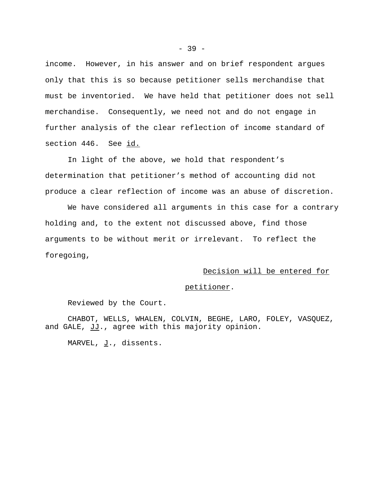income. However, in his answer and on brief respondent argues only that this is so because petitioner sells merchandise that must be inventoried. We have held that petitioner does not sell merchandise. Consequently, we need not and do not engage in further analysis of the clear reflection of income standard of section 446. See id.

In light of the above, we hold that respondent's determination that petitioner's method of accounting did not produce a clear reflection of income was an abuse of discretion.

We have considered all arguments in this case for a contrary holding and, to the extent not discussed above, find those arguments to be without merit or irrelevant. To reflect the foregoing,

# Decision will be entered for

#### petitioner.

Reviewed by the Court.

CHABOT, WELLS, WHALEN, COLVIN, BEGHE, LARO, FOLEY, VASQUEZ, and GALE, JJ., agree with this majority opinion.

MARVEL,  $J.$ , dissents.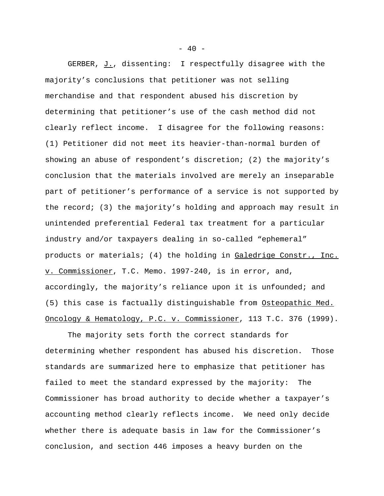GERBER, J., dissenting: I respectfully disagree with the majority's conclusions that petitioner was not selling merchandise and that respondent abused his discretion by determining that petitioner's use of the cash method did not clearly reflect income. I disagree for the following reasons: (1) Petitioner did not meet its heavier-than-normal burden of showing an abuse of respondent's discretion; (2) the majority's conclusion that the materials involved are merely an inseparable part of petitioner's performance of a service is not supported by the record; (3) the majority's holding and approach may result in unintended preferential Federal tax treatment for a particular industry and/or taxpayers dealing in so-called "ephemeral" products or materials; (4) the holding in Galedrige Constr., Inc. v. Commissioner, T.C. Memo. 1997-240, is in error, and, accordingly, the majority's reliance upon it is unfounded; and (5) this case is factually distinguishable from Osteopathic Med. Oncology & Hematology, P.C. v. Commissioner, 113 T.C. 376 (1999).

The majority sets forth the correct standards for determining whether respondent has abused his discretion. Those standards are summarized here to emphasize that petitioner has failed to meet the standard expressed by the majority: The Commissioner has broad authority to decide whether a taxpayer's accounting method clearly reflects income. We need only decide whether there is adequate basis in law for the Commissioner's conclusion, and section 446 imposes a heavy burden on the

 $- 40 -$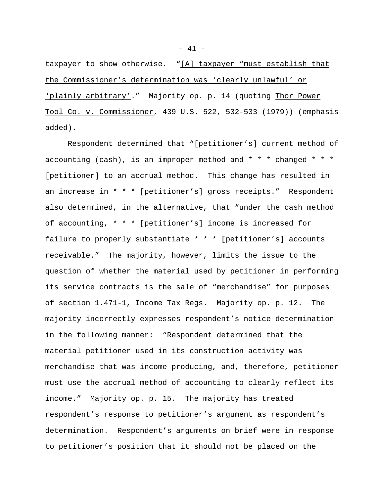taxpayer to show otherwise. "[A] taxpayer "must establish that the Commissioner's determination was 'clearly unlawful' or 'plainly arbitrary'." Majority op. p. 14 (quoting Thor Power Tool Co. v. Commissioner, 439 U.S. 522, 532-533 (1979)) (emphasis added).

Respondent determined that "[petitioner's] current method of accounting (cash), is an improper method and  $* * *$  changed  $* * *$ [petitioner] to an accrual method. This change has resulted in an increase in \* \* \* [petitioner's] gross receipts." Respondent also determined, in the alternative, that "under the cash method of accounting, \* \* \* [petitioner's] income is increased for failure to properly substantiate \* \* \* [petitioner's] accounts receivable." The majority, however, limits the issue to the question of whether the material used by petitioner in performing its service contracts is the sale of "merchandise" for purposes of section 1.471-1, Income Tax Regs. Majority op. p. 12. The majority incorrectly expresses respondent's notice determination in the following manner: "Respondent determined that the material petitioner used in its construction activity was merchandise that was income producing, and, therefore, petitioner must use the accrual method of accounting to clearly reflect its income." Majority op. p. 15. The majority has treated respondent's response to petitioner's argument as respondent's determination. Respondent's arguments on brief were in response to petitioner's position that it should not be placed on the

 $- 41 -$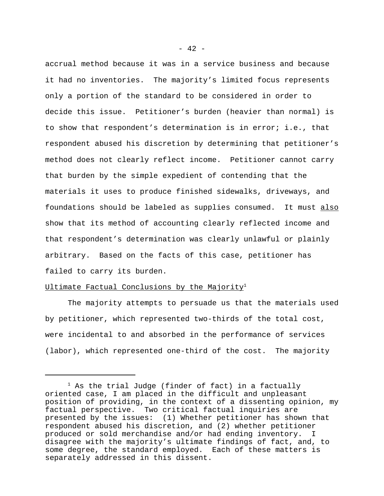accrual method because it was in a service business and because it had no inventories. The majority's limited focus represents only a portion of the standard to be considered in order to decide this issue. Petitioner's burden (heavier than normal) is to show that respondent's determination is in error; i.e., that respondent abused his discretion by determining that petitioner's method does not clearly reflect income. Petitioner cannot carry that burden by the simple expedient of contending that the materials it uses to produce finished sidewalks, driveways, and foundations should be labeled as supplies consumed. It must also show that its method of accounting clearly reflected income and that respondent's determination was clearly unlawful or plainly arbitrary. Based on the facts of this case, petitioner has failed to carry its burden.

# Ultimate Factual Conclusions by the Majority<sup>1</sup>

The majority attempts to persuade us that the materials used by petitioner, which represented two-thirds of the total cost, were incidental to and absorbed in the performance of services (labor), which represented one-third of the cost. The majority

 $- 42 -$ 

 $1$  As the trial Judge (finder of fact) in a factually oriented case, I am placed in the difficult and unpleasant position of providing, in the context of a dissenting opinion, my factual perspective. Two critical factual inquiries are presented by the issues: (1) Whether petitioner has shown that respondent abused his discretion, and (2) whether petitioner produced or sold merchandise and/or had ending inventory. I disagree with the majority's ultimate findings of fact, and, to some degree, the standard employed. Each of these matters is separately addressed in this dissent.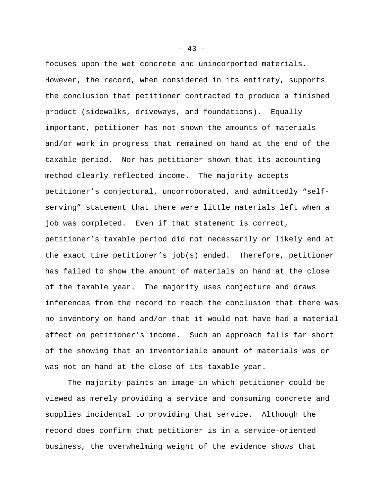focuses upon the wet concrete and unincorported materials. However, the record, when considered in its entirety, supports the conclusion that petitioner contracted to produce a finished product (sidewalks, driveways, and foundations). Equally important, petitioner has not shown the amounts of materials and/or work in progress that remained on hand at the end of the taxable period. Nor has petitioner shown that its accounting method clearly reflected income. The majority accepts petitioner's conjectural, uncorroborated, and admittedly "selfserving" statement that there were little materials left when a job was completed. Even if that statement is correct, petitioner's taxable period did not necessarily or likely end at the exact time petitioner's job(s) ended. Therefore, petitioner has failed to show the amount of materials on hand at the close of the taxable year. The majority uses conjecture and draws inferences from the record to reach the conclusion that there was no inventory on hand and/or that it would not have had a material effect on petitioner's income. Such an approach falls far short of the showing that an inventoriable amount of materials was or was not on hand at the close of its taxable year.

The majority paints an image in which petitioner could be viewed as merely providing a service and consuming concrete and supplies incidental to providing that service. Although the record does confirm that petitioner is in a service-oriented business, the overwhelming weight of the evidence shows that

 $- 43 -$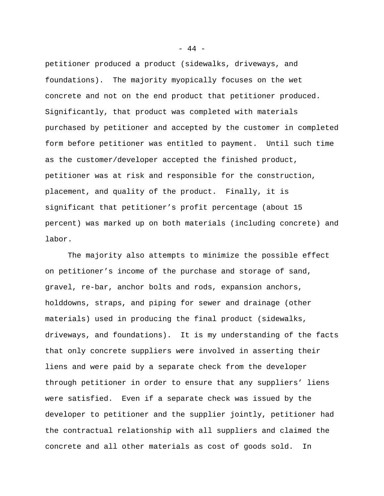petitioner produced a product (sidewalks, driveways, and foundations). The majority myopically focuses on the wet concrete and not on the end product that petitioner produced. Significantly, that product was completed with materials purchased by petitioner and accepted by the customer in completed form before petitioner was entitled to payment. Until such time as the customer/developer accepted the finished product, petitioner was at risk and responsible for the construction, placement, and quality of the product. Finally, it is significant that petitioner's profit percentage (about 15 percent) was marked up on both materials (including concrete) and labor.

The majority also attempts to minimize the possible effect on petitioner's income of the purchase and storage of sand, gravel, re-bar, anchor bolts and rods, expansion anchors, holddowns, straps, and piping for sewer and drainage (other materials) used in producing the final product (sidewalks, driveways, and foundations). It is my understanding of the facts that only concrete suppliers were involved in asserting their liens and were paid by a separate check from the developer through petitioner in order to ensure that any suppliers' liens were satisfied. Even if a separate check was issued by the developer to petitioner and the supplier jointly, petitioner had the contractual relationship with all suppliers and claimed the concrete and all other materials as cost of goods sold. In

- 44 -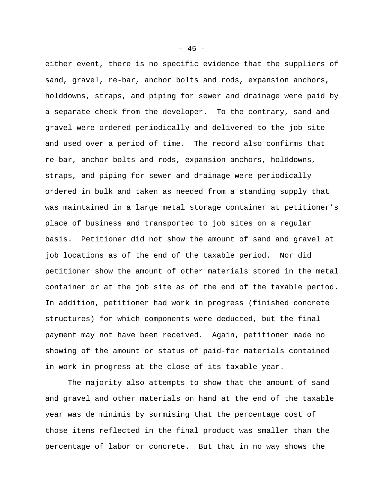either event, there is no specific evidence that the suppliers of sand, gravel, re-bar, anchor bolts and rods, expansion anchors, holddowns, straps, and piping for sewer and drainage were paid by a separate check from the developer. To the contrary, sand and gravel were ordered periodically and delivered to the job site and used over a period of time. The record also confirms that re-bar, anchor bolts and rods, expansion anchors, holddowns, straps, and piping for sewer and drainage were periodically ordered in bulk and taken as needed from a standing supply that was maintained in a large metal storage container at petitioner's place of business and transported to job sites on a regular basis. Petitioner did not show the amount of sand and gravel at job locations as of the end of the taxable period. Nor did petitioner show the amount of other materials stored in the metal container or at the job site as of the end of the taxable period. In addition, petitioner had work in progress (finished concrete structures) for which components were deducted, but the final payment may not have been received. Again, petitioner made no showing of the amount or status of paid-for materials contained in work in progress at the close of its taxable year.

The majority also attempts to show that the amount of sand and gravel and other materials on hand at the end of the taxable year was de minimis by surmising that the percentage cost of those items reflected in the final product was smaller than the percentage of labor or concrete. But that in no way shows the

 $- 45 -$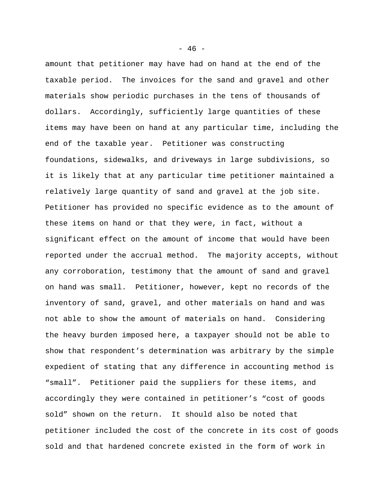amount that petitioner may have had on hand at the end of the taxable period. The invoices for the sand and gravel and other materials show periodic purchases in the tens of thousands of dollars. Accordingly, sufficiently large quantities of these items may have been on hand at any particular time, including the end of the taxable year. Petitioner was constructing foundations, sidewalks, and driveways in large subdivisions, so it is likely that at any particular time petitioner maintained a relatively large quantity of sand and gravel at the job site. Petitioner has provided no specific evidence as to the amount of these items on hand or that they were, in fact, without a significant effect on the amount of income that would have been reported under the accrual method. The majority accepts, without any corroboration, testimony that the amount of sand and gravel on hand was small. Petitioner, however, kept no records of the inventory of sand, gravel, and other materials on hand and was not able to show the amount of materials on hand. Considering the heavy burden imposed here, a taxpayer should not be able to show that respondent's determination was arbitrary by the simple expedient of stating that any difference in accounting method is "small". Petitioner paid the suppliers for these items, and accordingly they were contained in petitioner's "cost of goods sold" shown on the return. It should also be noted that petitioner included the cost of the concrete in its cost of goods sold and that hardened concrete existed in the form of work in

 $- 46 -$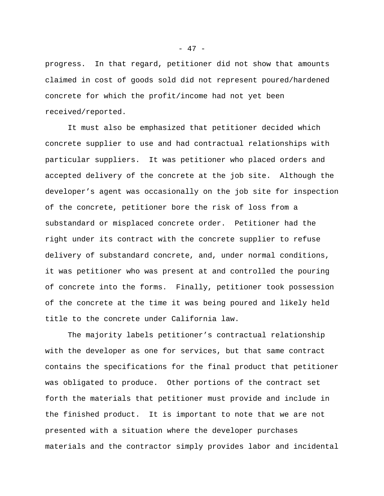progress. In that regard, petitioner did not show that amounts claimed in cost of goods sold did not represent poured/hardened concrete for which the profit/income had not yet been received/reported.

It must also be emphasized that petitioner decided which concrete supplier to use and had contractual relationships with particular suppliers. It was petitioner who placed orders and accepted delivery of the concrete at the job site. Although the developer's agent was occasionally on the job site for inspection of the concrete, petitioner bore the risk of loss from a substandard or misplaced concrete order. Petitioner had the right under its contract with the concrete supplier to refuse delivery of substandard concrete, and, under normal conditions, it was petitioner who was present at and controlled the pouring of concrete into the forms. Finally, petitioner took possession of the concrete at the time it was being poured and likely held title to the concrete under California law.

The majority labels petitioner's contractual relationship with the developer as one for services, but that same contract contains the specifications for the final product that petitioner was obligated to produce. Other portions of the contract set forth the materials that petitioner must provide and include in the finished product. It is important to note that we are not presented with a situation where the developer purchases materials and the contractor simply provides labor and incidental

- 47 -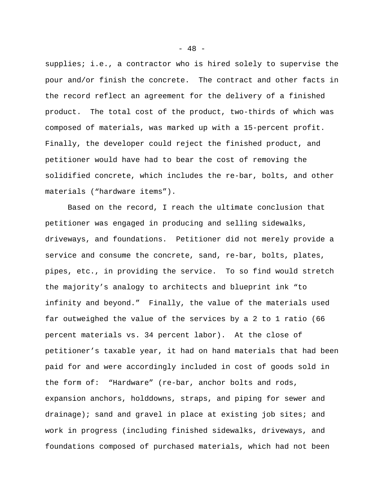supplies; i.e., a contractor who is hired solely to supervise the pour and/or finish the concrete. The contract and other facts in the record reflect an agreement for the delivery of a finished product. The total cost of the product, two-thirds of which was composed of materials, was marked up with a 15-percent profit. Finally, the developer could reject the finished product, and petitioner would have had to bear the cost of removing the solidified concrete, which includes the re-bar, bolts, and other materials ("hardware items").

Based on the record, I reach the ultimate conclusion that petitioner was engaged in producing and selling sidewalks, driveways, and foundations. Petitioner did not merely provide a service and consume the concrete, sand, re-bar, bolts, plates, pipes, etc., in providing the service. To so find would stretch the majority's analogy to architects and blueprint ink "to infinity and beyond." Finally, the value of the materials used far outweighed the value of the services by a 2 to 1 ratio (66 percent materials vs. 34 percent labor). At the close of petitioner's taxable year, it had on hand materials that had been paid for and were accordingly included in cost of goods sold in the form of: "Hardware" (re-bar, anchor bolts and rods, expansion anchors, holddowns, straps, and piping for sewer and drainage); sand and gravel in place at existing job sites; and work in progress (including finished sidewalks, driveways, and foundations composed of purchased materials, which had not been

 $- 48 -$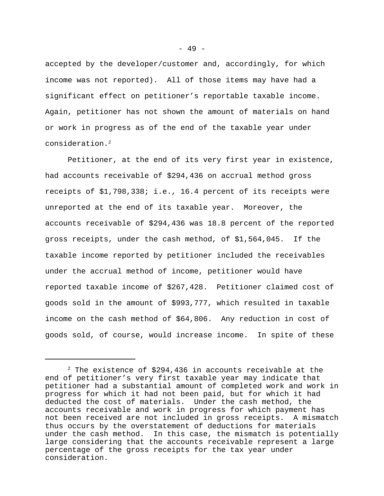accepted by the developer/customer and, accordingly, for which income was not reported). All of those items may have had a significant effect on petitioner's reportable taxable income. Again, petitioner has not shown the amount of materials on hand or work in progress as of the end of the taxable year under consideration.<sup>2</sup>

Petitioner, at the end of its very first year in existence, had accounts receivable of \$294,436 on accrual method gross receipts of \$1,798,338; i.e., 16.4 percent of its receipts were unreported at the end of its taxable year. Moreover, the accounts receivable of \$294,436 was 18.8 percent of the reported gross receipts, under the cash method, of \$1,564,045. If the taxable income reported by petitioner included the receivables under the accrual method of income, petitioner would have reported taxable income of \$267,428. Petitioner claimed cost of goods sold in the amount of \$993,777, which resulted in taxable income on the cash method of \$64,806. Any reduction in cost of goods sold, of course, would increase income. In spite of these

 $2$  The existence of \$294,436 in accounts receivable at the end of petitioner's very first taxable year may indicate that petitioner had a substantial amount of completed work and work in progress for which it had not been paid, but for which it had deducted the cost of materials. Under the cash method, the accounts receivable and work in progress for which payment has not been received are not included in gross receipts. A mismatch thus occurs by the overstatement of deductions for materials under the cash method. In this case, the mismatch is potentially large considering that the accounts receivable represent a large percentage of the gross receipts for the tax year under consideration.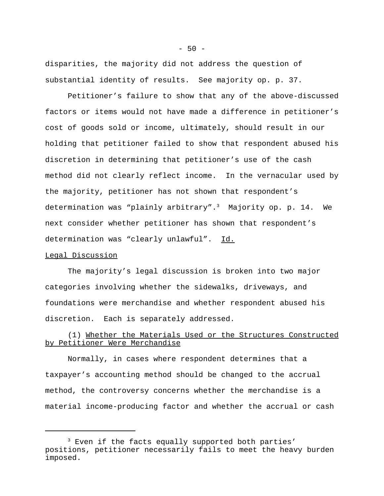disparities, the majority did not address the question of substantial identity of results. See majority op. p. 37.

Petitioner's failure to show that any of the above-discussed factors or items would not have made a difference in petitioner's cost of goods sold or income, ultimately, should result in our holding that petitioner failed to show that respondent abused his discretion in determining that petitioner's use of the cash method did not clearly reflect income. In the vernacular used by the majority, petitioner has not shown that respondent's determination was "plainly arbitrary".<sup>3</sup> Majority op. p. 14. We next consider whether petitioner has shown that respondent's determination was "clearly unlawful". Id.

#### Legal Discussion

The majority's legal discussion is broken into two major categories involving whether the sidewalks, driveways, and foundations were merchandise and whether respondent abused his discretion. Each is separately addressed.

# (1) Whether the Materials Used or the Structures Constructed by Petitioner Were Merchandise

Normally, in cases where respondent determines that a taxpayer's accounting method should be changed to the accrual method, the controversy concerns whether the merchandise is a material income-producing factor and whether the accrual or cash

<sup>&</sup>lt;sup>3</sup> Even if the facts equally supported both parties' positions, petitioner necessarily fails to meet the heavy burden imposed.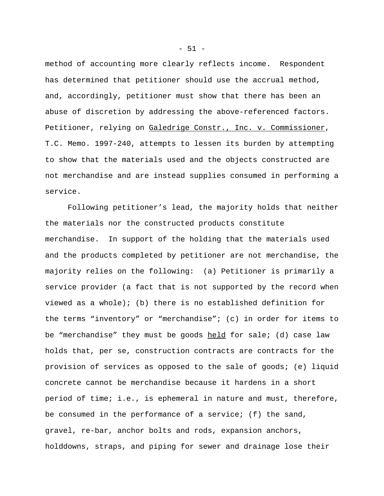method of accounting more clearly reflects income. Respondent has determined that petitioner should use the accrual method, and, accordingly, petitioner must show that there has been an abuse of discretion by addressing the above-referenced factors. Petitioner, relying on Galedrige Constr., Inc. v. Commissioner, T.C. Memo. 1997-240, attempts to lessen its burden by attempting to show that the materials used and the objects constructed are not merchandise and are instead supplies consumed in performing a service.

Following petitioner's lead, the majority holds that neither the materials nor the constructed products constitute merchandise. In support of the holding that the materials used and the products completed by petitioner are not merchandise, the majority relies on the following: (a) Petitioner is primarily a service provider (a fact that is not supported by the record when viewed as a whole); (b) there is no established definition for the terms "inventory" or "merchandise"; (c) in order for items to be "merchandise" they must be goods held for sale; (d) case law holds that, per se, construction contracts are contracts for the provision of services as opposed to the sale of goods; (e) liquid concrete cannot be merchandise because it hardens in a short period of time; i.e., is ephemeral in nature and must, therefore, be consumed in the performance of a service; (f) the sand, gravel, re-bar, anchor bolts and rods, expansion anchors, holddowns, straps, and piping for sewer and drainage lose their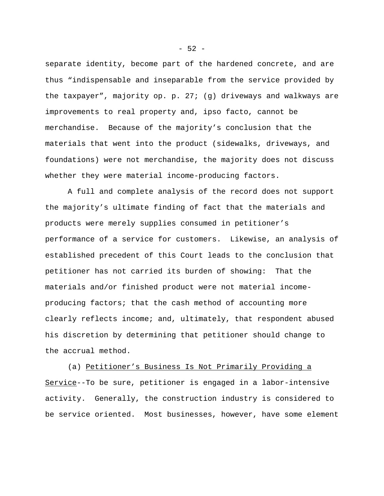separate identity, become part of the hardened concrete, and are thus "indispensable and inseparable from the service provided by the taxpayer", majority op. p. 27; (g) driveways and walkways are improvements to real property and, ipso facto, cannot be merchandise. Because of the majority's conclusion that the materials that went into the product (sidewalks, driveways, and foundations) were not merchandise, the majority does not discuss whether they were material income-producing factors.

A full and complete analysis of the record does not support the majority's ultimate finding of fact that the materials and products were merely supplies consumed in petitioner's performance of a service for customers. Likewise, an analysis of established precedent of this Court leads to the conclusion that petitioner has not carried its burden of showing: That the materials and/or finished product were not material incomeproducing factors; that the cash method of accounting more clearly reflects income; and, ultimately, that respondent abused his discretion by determining that petitioner should change to the accrual method.

(a) Petitioner's Business Is Not Primarily Providing a Service--To be sure, petitioner is engaged in a labor-intensive activity. Generally, the construction industry is considered to be service oriented. Most businesses, however, have some element

 $-52 -$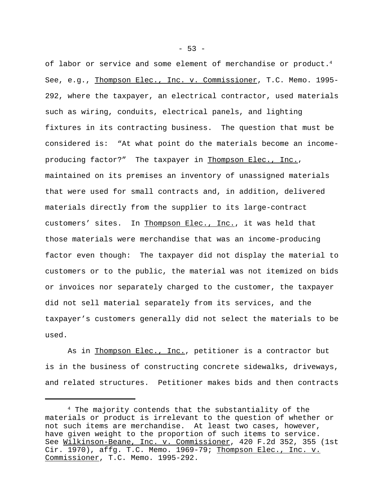of labor or service and some element of merchandise or product.<sup>4</sup> See, e.g., Thompson Elec., Inc. v. Commissioner, T.C. Memo. 1995- 292, where the taxpayer, an electrical contractor, used materials such as wiring, conduits, electrical panels, and lighting fixtures in its contracting business. The question that must be considered is: "At what point do the materials become an incomeproducing factor?" The taxpayer in Thompson Elec., Inc., maintained on its premises an inventory of unassigned materials that were used for small contracts and, in addition, delivered materials directly from the supplier to its large-contract customers' sites. In Thompson Elec., Inc., it was held that those materials were merchandise that was an income-producing factor even though: The taxpayer did not display the material to customers or to the public, the material was not itemized on bids or invoices nor separately charged to the customer, the taxpayer did not sell material separately from its services, and the taxpayer's customers generally did not select the materials to be used.

As in Thompson Elec., Inc., petitioner is a contractor but is in the business of constructing concrete sidewalks, driveways, and related structures. Petitioner makes bids and then contracts

 $-53 -$ 

<sup>4</sup> The majority contends that the substantiality of the materials or product is irrelevant to the question of whether or not such items are merchandise. At least two cases, however, have given weight to the proportion of such items to service. See Wilkinson-Beane, Inc. v. Commissioner, 420 F.2d 352, 355 (1st Cir. 1970), affg. T.C. Memo. 1969-79; Thompson Elec., Inc. v. Commissioner, T.C. Memo. 1995-292.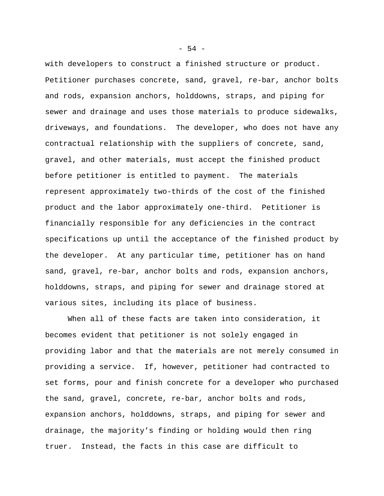with developers to construct a finished structure or product. Petitioner purchases concrete, sand, gravel, re-bar, anchor bolts and rods, expansion anchors, holddowns, straps, and piping for sewer and drainage and uses those materials to produce sidewalks, driveways, and foundations. The developer, who does not have any contractual relationship with the suppliers of concrete, sand, gravel, and other materials, must accept the finished product before petitioner is entitled to payment. The materials represent approximately two-thirds of the cost of the finished product and the labor approximately one-third. Petitioner is financially responsible for any deficiencies in the contract specifications up until the acceptance of the finished product by the developer. At any particular time, petitioner has on hand sand, gravel, re-bar, anchor bolts and rods, expansion anchors, holddowns, straps, and piping for sewer and drainage stored at various sites, including its place of business.

When all of these facts are taken into consideration, it becomes evident that petitioner is not solely engaged in providing labor and that the materials are not merely consumed in providing a service. If, however, petitioner had contracted to set forms, pour and finish concrete for a developer who purchased the sand, gravel, concrete, re-bar, anchor bolts and rods, expansion anchors, holddowns, straps, and piping for sewer and drainage, the majority's finding or holding would then ring truer. Instead, the facts in this case are difficult to

 $-54 -$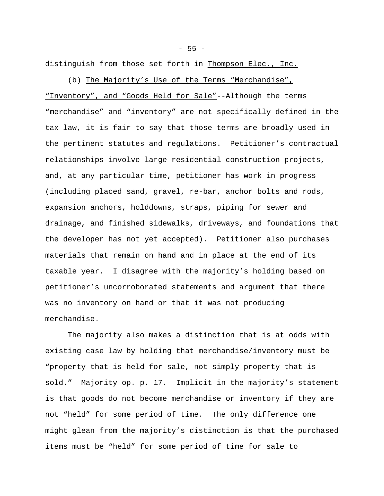$- 55 -$ 

distinguish from those set forth in Thompson Elec., Inc.

(b) The Majority's Use of the Terms "Merchandise", "Inventory", and "Goods Held for Sale"--Although the terms "merchandise" and "inventory" are not specifically defined in the tax law, it is fair to say that those terms are broadly used in the pertinent statutes and regulations. Petitioner's contractual relationships involve large residential construction projects, and, at any particular time, petitioner has work in progress (including placed sand, gravel, re-bar, anchor bolts and rods, expansion anchors, holddowns, straps, piping for sewer and drainage, and finished sidewalks, driveways, and foundations that the developer has not yet accepted). Petitioner also purchases materials that remain on hand and in place at the end of its taxable year. I disagree with the majority's holding based on petitioner's uncorroborated statements and argument that there was no inventory on hand or that it was not producing merchandise.

The majority also makes a distinction that is at odds with existing case law by holding that merchandise/inventory must be "property that is held for sale, not simply property that is sold." Majority op. p. 17. Implicit in the majority's statement is that goods do not become merchandise or inventory if they are not "held" for some period of time. The only difference one might glean from the majority's distinction is that the purchased items must be "held" for some period of time for sale to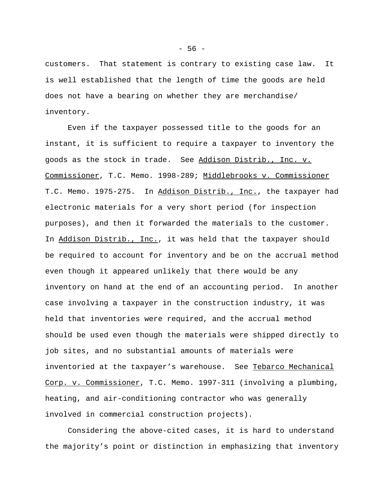customers. That statement is contrary to existing case law. It is well established that the length of time the goods are held does not have a bearing on whether they are merchandise/ inventory.

Even if the taxpayer possessed title to the goods for an instant, it is sufficient to require a taxpayer to inventory the goods as the stock in trade. See Addison Distrib., Inc. v. Commissioner, T.C. Memo. 1998-289; Middlebrooks v. Commissioner T.C. Memo. 1975-275. In Addison Distrib., Inc., the taxpayer had electronic materials for a very short period (for inspection purposes), and then it forwarded the materials to the customer. In Addison Distrib., Inc., it was held that the taxpayer should be required to account for inventory and be on the accrual method even though it appeared unlikely that there would be any inventory on hand at the end of an accounting period. In another case involving a taxpayer in the construction industry, it was held that inventories were required, and the accrual method should be used even though the materials were shipped directly to job sites, and no substantial amounts of materials were inventoried at the taxpayer's warehouse. See Tebarco Mechanical Corp. v. Commissioner, T.C. Memo. 1997-311 (involving a plumbing, heating, and air-conditioning contractor who was generally involved in commercial construction projects).

Considering the above-cited cases, it is hard to understand the majority's point or distinction in emphasizing that inventory

 $-56 -$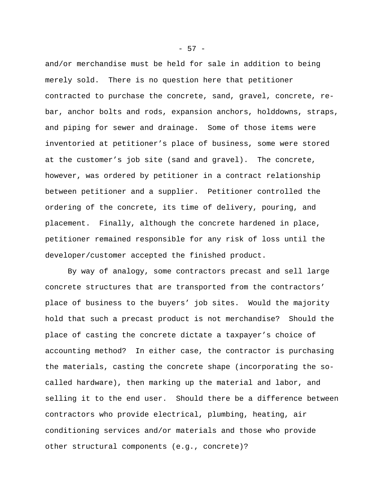and/or merchandise must be held for sale in addition to being merely sold. There is no question here that petitioner contracted to purchase the concrete, sand, gravel, concrete, rebar, anchor bolts and rods, expansion anchors, holddowns, straps, and piping for sewer and drainage. Some of those items were inventoried at petitioner's place of business, some were stored at the customer's job site (sand and gravel). The concrete, however, was ordered by petitioner in a contract relationship between petitioner and a supplier. Petitioner controlled the ordering of the concrete, its time of delivery, pouring, and placement. Finally, although the concrete hardened in place, petitioner remained responsible for any risk of loss until the developer/customer accepted the finished product.

By way of analogy, some contractors precast and sell large concrete structures that are transported from the contractors' place of business to the buyers' job sites. Would the majority hold that such a precast product is not merchandise? Should the place of casting the concrete dictate a taxpayer's choice of accounting method? In either case, the contractor is purchasing the materials, casting the concrete shape (incorporating the socalled hardware), then marking up the material and labor, and selling it to the end user. Should there be a difference between contractors who provide electrical, plumbing, heating, air conditioning services and/or materials and those who provide other structural components (e.g., concrete)?

- 57 -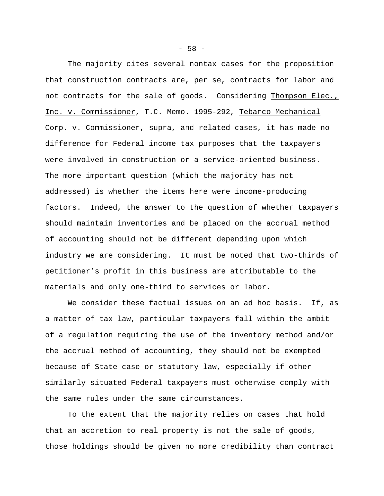The majority cites several nontax cases for the proposition that construction contracts are, per se, contracts for labor and not contracts for the sale of goods. Considering Thompson Elec., Inc. v. Commissioner, T.C. Memo. 1995-292, Tebarco Mechanical Corp. v. Commissioner, supra, and related cases, it has made no difference for Federal income tax purposes that the taxpayers were involved in construction or a service-oriented business. The more important question (which the majority has not addressed) is whether the items here were income-producing factors. Indeed, the answer to the question of whether taxpayers should maintain inventories and be placed on the accrual method of accounting should not be different depending upon which industry we are considering. It must be noted that two-thirds of petitioner's profit in this business are attributable to the materials and only one-third to services or labor.

We consider these factual issues on an ad hoc basis. If, as a matter of tax law, particular taxpayers fall within the ambit of a regulation requiring the use of the inventory method and/or the accrual method of accounting, they should not be exempted because of State case or statutory law, especially if other similarly situated Federal taxpayers must otherwise comply with the same rules under the same circumstances.

To the extent that the majority relies on cases that hold that an accretion to real property is not the sale of goods, those holdings should be given no more credibility than contract

 $-58 -$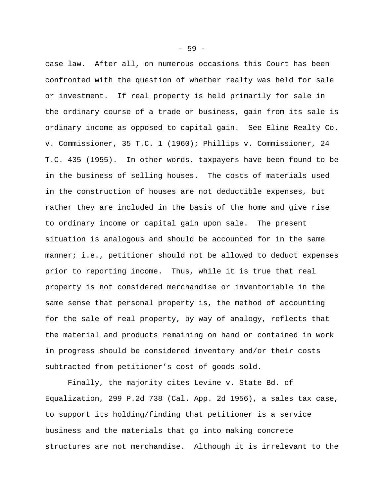case law. After all, on numerous occasions this Court has been confronted with the question of whether realty was held for sale or investment. If real property is held primarily for sale in the ordinary course of a trade or business, gain from its sale is ordinary income as opposed to capital gain. See Eline Realty Co. v. Commissioner, 35 T.C. 1 (1960); Phillips v. Commissioner, 24 T.C. 435 (1955). In other words, taxpayers have been found to be in the business of selling houses. The costs of materials used in the construction of houses are not deductible expenses, but rather they are included in the basis of the home and give rise to ordinary income or capital gain upon sale. The present situation is analogous and should be accounted for in the same manner; i.e., petitioner should not be allowed to deduct expenses prior to reporting income. Thus, while it is true that real property is not considered merchandise or inventoriable in the same sense that personal property is, the method of accounting for the sale of real property, by way of analogy, reflects that the material and products remaining on hand or contained in work in progress should be considered inventory and/or their costs subtracted from petitioner's cost of goods sold.

Finally, the majority cites Levine v. State Bd. of Equalization, 299 P.2d 738 (Cal. App. 2d 1956), a sales tax case, to support its holding/finding that petitioner is a service business and the materials that go into making concrete structures are not merchandise. Although it is irrelevant to the

 $-59 -$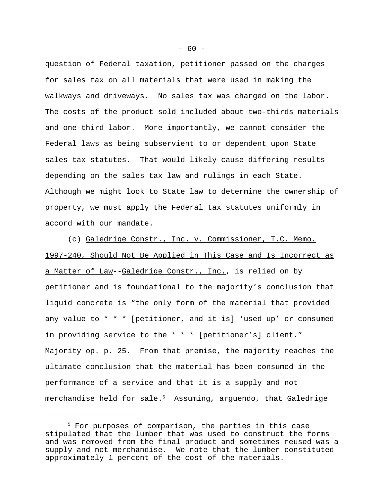question of Federal taxation, petitioner passed on the charges for sales tax on all materials that were used in making the walkways and driveways. No sales tax was charged on the labor. The costs of the product sold included about two-thirds materials and one-third labor. More importantly, we cannot consider the Federal laws as being subservient to or dependent upon State sales tax statutes. That would likely cause differing results depending on the sales tax law and rulings in each State. Although we might look to State law to determine the ownership of property, we must apply the Federal tax statutes uniformly in accord with our mandate.

(c) Galedrige Constr., Inc. v. Commissioner, T.C. Memo. 1997-240, Should Not Be Applied in This Case and Is Incorrect as a Matter of Law--Galedrige Constr., Inc., is relied on by petitioner and is foundational to the majority's conclusion that liquid concrete is "the only form of the material that provided any value to  $* * *$  [petitioner, and it is] 'used up' or consumed in providing service to the \* \* \* [petitioner's] client." Majority op. p. 25. From that premise, the majority reaches the ultimate conclusion that the material has been consumed in the performance of a service and that it is a supply and not merchandise held for sale.<sup>5</sup> Assuming, arguendo, that Galedrige

<sup>&</sup>lt;sup>5</sup> For purposes of comparison, the parties in this case stipulated that the lumber that was used to construct the forms and was removed from the final product and sometimes reused was a supply and not merchandise. We note that the lumber constituted approximately 1 percent of the cost of the materials.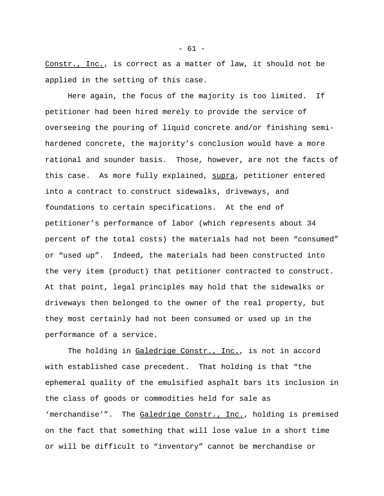Constr., Inc., is correct as a matter of law, it should not be applied in the setting of this case.

Here again, the focus of the majority is too limited. If petitioner had been hired merely to provide the service of overseeing the pouring of liquid concrete and/or finishing semihardened concrete, the majority's conclusion would have a more rational and sounder basis. Those, however, are not the facts of this case. As more fully explained, supra, petitioner entered into a contract to construct sidewalks, driveways, and foundations to certain specifications. At the end of petitioner's performance of labor (which represents about 34 percent of the total costs) the materials had not been "consumed" or "used up". Indeed, the materials had been constructed into the very item (product) that petitioner contracted to construct. At that point, legal principles may hold that the sidewalks or driveways then belonged to the owner of the real property, but they most certainly had not been consumed or used up in the performance of a service.

The holding in Galedrige Constr., Inc., is not in accord with established case precedent. That holding is that "the ephemeral quality of the emulsified asphalt bars its inclusion in the class of goods or commodities held for sale as 'merchandise'". The Galedrige Constr., Inc., holding is premised on the fact that something that will lose value in a short time or will be difficult to "inventory" cannot be merchandise or

 $- 61 -$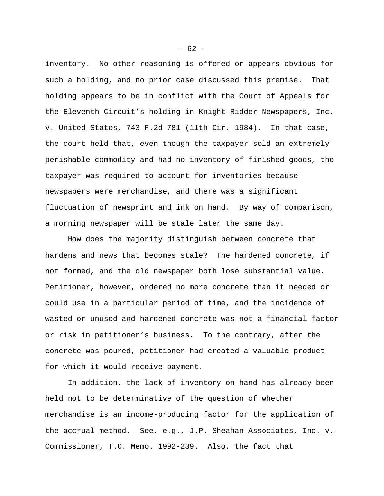inventory. No other reasoning is offered or appears obvious for such a holding, and no prior case discussed this premise. That holding appears to be in conflict with the Court of Appeals for the Eleventh Circuit's holding in Knight-Ridder Newspapers, Inc. v. United States, 743 F.2d 781 (11th Cir. 1984). In that case, the court held that, even though the taxpayer sold an extremely perishable commodity and had no inventory of finished goods, the taxpayer was required to account for inventories because newspapers were merchandise, and there was a significant fluctuation of newsprint and ink on hand. By way of comparison, a morning newspaper will be stale later the same day.

How does the majority distinguish between concrete that hardens and news that becomes stale? The hardened concrete, if not formed, and the old newspaper both lose substantial value. Petitioner, however, ordered no more concrete than it needed or could use in a particular period of time, and the incidence of wasted or unused and hardened concrete was not a financial factor or risk in petitioner's business. To the contrary, after the concrete was poured, petitioner had created a valuable product for which it would receive payment.

In addition, the lack of inventory on hand has already been held not to be determinative of the question of whether merchandise is an income-producing factor for the application of the accrual method. See, e.g., J.P. Sheahan Associates, Inc. v. Commissioner, T.C. Memo. 1992-239. Also, the fact that

 $- 62 -$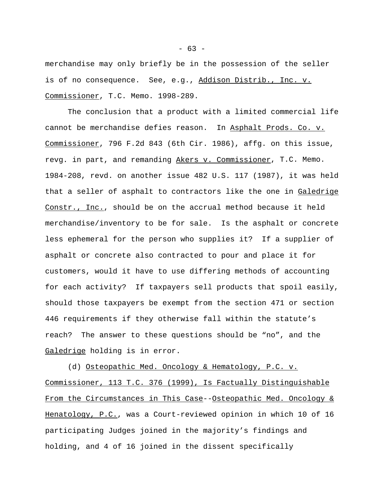merchandise may only briefly be in the possession of the seller is of no consequence. See, e.g., Addison Distrib., Inc. v. Commissioner, T.C. Memo. 1998-289.

The conclusion that a product with a limited commercial life cannot be merchandise defies reason. In Asphalt Prods. Co. v. Commissioner, 796 F.2d 843 (6th Cir. 1986), affg. on this issue, revg. in part, and remanding Akers v. Commissioner, T.C. Memo. 1984-208, revd. on another issue 482 U.S. 117 (1987), it was held that a seller of asphalt to contractors like the one in Galedrige Constr., Inc., should be on the accrual method because it held merchandise/inventory to be for sale. Is the asphalt or concrete less ephemeral for the person who supplies it? If a supplier of asphalt or concrete also contracted to pour and place it for customers, would it have to use differing methods of accounting for each activity? If taxpayers sell products that spoil easily, should those taxpayers be exempt from the section 471 or section 446 requirements if they otherwise fall within the statute's reach? The answer to these questions should be "no", and the Galedrige holding is in error.

(d) Osteopathic Med. Oncology & Hematology, P.C. v. Commissioner, 113 T.C. 376 (1999), Is Factually Distinguishable From the Circumstances in This Case--Osteopathic Med. Oncology & Henatology, P.C., was a Court-reviewed opinion in which 10 of 16 participating Judges joined in the majority's findings and holding, and 4 of 16 joined in the dissent specifically

 $- 63 -$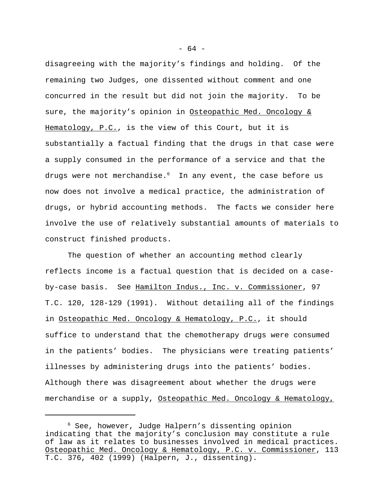disagreeing with the majority's findings and holding. Of the remaining two Judges, one dissented without comment and one concurred in the result but did not join the majority. To be sure, the majority's opinion in Osteopathic Med. Oncology & Hematology, P.C., is the view of this Court, but it is substantially a factual finding that the drugs in that case were a supply consumed in the performance of a service and that the drugs were not merchandise.<sup>6</sup> In any event, the case before us now does not involve a medical practice, the administration of drugs, or hybrid accounting methods. The facts we consider here involve the use of relatively substantial amounts of materials to construct finished products.

The question of whether an accounting method clearly reflects income is a factual question that is decided on a caseby-case basis. See Hamilton Indus., Inc. v. Commissioner, 97 T.C. 120, 128-129 (1991). Without detailing all of the findings in Osteopathic Med. Oncology & Hematology, P.C., it should suffice to understand that the chemotherapy drugs were consumed in the patients' bodies. The physicians were treating patients' illnesses by administering drugs into the patients' bodies. Although there was disagreement about whether the drugs were merchandise or a supply, Osteopathic Med. Oncology & Hematology,

- 64 -

<sup>6</sup> See, however, Judge Halpern's dissenting opinion indicating that the majority's conclusion may constitute a rule of law as it relates to businesses involved in medical practices. Osteopathic Med. Oncology & Hematology, P.C. v. Commissioner, 113 T.C. 376, 402 (1999) (Halpern, J., dissenting).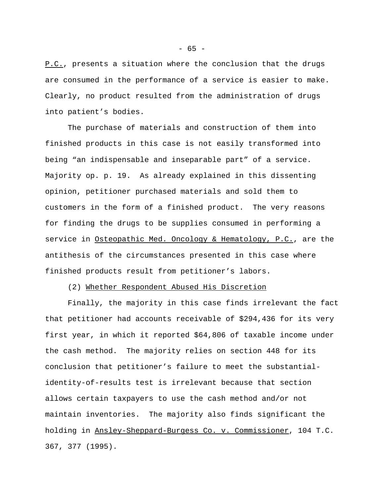P.C., presents a situation where the conclusion that the drugs are consumed in the performance of a service is easier to make. Clearly, no product resulted from the administration of drugs into patient's bodies.

The purchase of materials and construction of them into finished products in this case is not easily transformed into being "an indispensable and inseparable part" of a service. Majority op. p. 19. As already explained in this dissenting opinion, petitioner purchased materials and sold them to customers in the form of a finished product. The very reasons for finding the drugs to be supplies consumed in performing a service in Osteopathic Med. Oncology & Hematology, P.C., are the antithesis of the circumstances presented in this case where finished products result from petitioner's labors.

## (2) Whether Respondent Abused His Discretion

Finally, the majority in this case finds irrelevant the fact that petitioner had accounts receivable of \$294,436 for its very first year, in which it reported \$64,806 of taxable income under the cash method. The majority relies on section 448 for its conclusion that petitioner's failure to meet the substantialidentity-of-results test is irrelevant because that section allows certain taxpayers to use the cash method and/or not maintain inventories. The majority also finds significant the holding in Ansley-Sheppard-Burgess Co. v. Commissioner, 104 T.C. 367, 377 (1995).

 $- 65 -$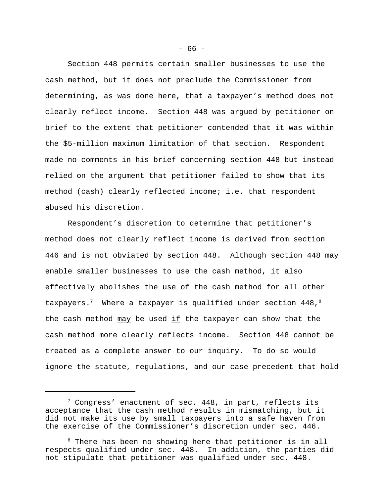Section 448 permits certain smaller businesses to use the cash method, but it does not preclude the Commissioner from determining, as was done here, that a taxpayer's method does not clearly reflect income. Section 448 was argued by petitioner on brief to the extent that petitioner contended that it was within the \$5-million maximum limitation of that section. Respondent made no comments in his brief concerning section 448 but instead relied on the argument that petitioner failed to show that its method (cash) clearly reflected income; i.e. that respondent abused his discretion.

Respondent's discretion to determine that petitioner's method does not clearly reflect income is derived from section 446 and is not obviated by section 448. Although section 448 may enable smaller businesses to use the cash method, it also effectively abolishes the use of the cash method for all other taxpayers.<sup>7</sup> Where a taxpayer is qualified under section  $448,$ <sup>8</sup> the cash method  $\frac{may}{cd}$  be used if the taxpayer can show that the cash method more clearly reflects income. Section 448 cannot be treated as a complete answer to our inquiry. To do so would ignore the statute, regulations, and our case precedent that hold

- 66 -

 $7$  Congress' enactment of sec. 448, in part, reflects its acceptance that the cash method results in mismatching, but it did not make its use by small taxpayers into a safe haven from the exercise of the Commissioner's discretion under sec. 446.

<sup>&</sup>lt;sup>8</sup> There has been no showing here that petitioner is in all respects qualified under sec. 448. In addition, the parties did not stipulate that petitioner was qualified under sec. 448.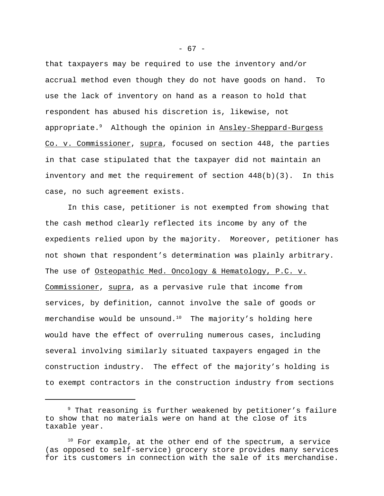that taxpayers may be required to use the inventory and/or accrual method even though they do not have goods on hand. To use the lack of inventory on hand as a reason to hold that respondent has abused his discretion is, likewise, not appropriate.<sup>9</sup> Although the opinion in Ansley-Sheppard-Burgess Co. v. Commissioner, supra, focused on section 448, the parties in that case stipulated that the taxpayer did not maintain an inventory and met the requirement of section 448(b)(3). In this case, no such agreement exists.

In this case, petitioner is not exempted from showing that the cash method clearly reflected its income by any of the expedients relied upon by the majority. Moreover, petitioner has not shown that respondent's determination was plainly arbitrary. The use of Osteopathic Med. Oncology & Hematology, P.C. v. Commissioner, supra, as a pervasive rule that income from services, by definition, cannot involve the sale of goods or merchandise would be unsound.<sup>10</sup> The majority's holding here would have the effect of overruling numerous cases, including several involving similarly situated taxpayers engaged in the construction industry. The effect of the majority's holding is to exempt contractors in the construction industry from sections

<sup>&</sup>lt;sup>9</sup> That reasoning is further weakened by petitioner's failure to show that no materials were on hand at the close of its taxable year.

 $10$  For example, at the other end of the spectrum, a service (as opposed to self-service) grocery store provides many services for its customers in connection with the sale of its merchandise.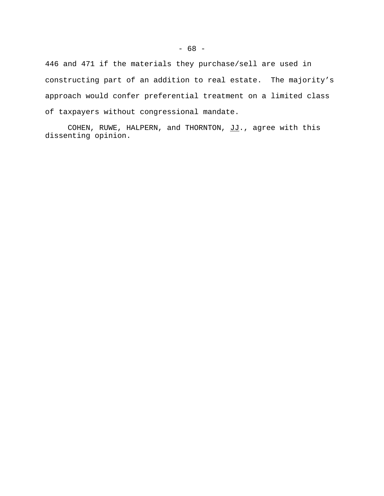446 and 471 if the materials they purchase/sell are used in constructing part of an addition to real estate. The majority's approach would confer preferential treatment on a limited class of taxpayers without congressional mandate.

COHEN, RUWE, HALPERN, and THORNTON, JJ., agree with this dissenting opinion.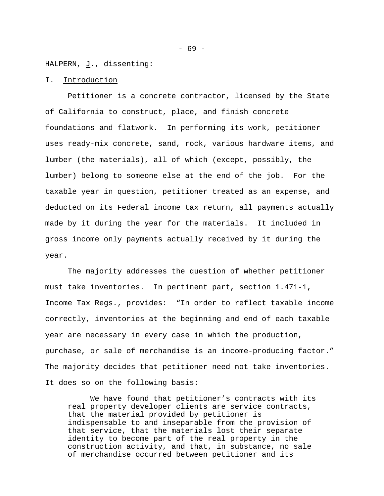HALPERN, J., dissenting:

# I. Introduction

Petitioner is a concrete contractor, licensed by the State of California to construct, place, and finish concrete foundations and flatwork. In performing its work, petitioner uses ready-mix concrete, sand, rock, various hardware items, and lumber (the materials), all of which (except, possibly, the lumber) belong to someone else at the end of the job. For the taxable year in question, petitioner treated as an expense, and deducted on its Federal income tax return, all payments actually made by it during the year for the materials. It included in gross income only payments actually received by it during the year.

The majority addresses the question of whether petitioner must take inventories. In pertinent part, section 1.471-1, Income Tax Regs., provides: "In order to reflect taxable income correctly, inventories at the beginning and end of each taxable year are necessary in every case in which the production, purchase, or sale of merchandise is an income-producing factor." The majority decides that petitioner need not take inventories. It does so on the following basis:

We have found that petitioner's contracts with its real property developer clients are service contracts, that the material provided by petitioner is indispensable to and inseparable from the provision of that service, that the materials lost their separate identity to become part of the real property in the construction activity, and that, in substance, no sale of merchandise occurred between petitioner and its

- 69 -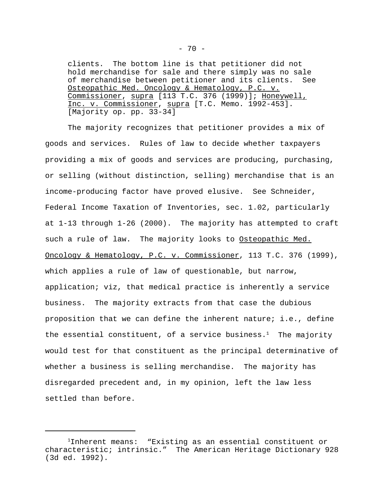clients. The bottom line is that petitioner did not hold merchandise for sale and there simply was no sale of merchandise between petitioner and its clients. See Osteopathic Med. Oncology & Hematology, P.C. v. Commissioner, supra [113 T.C. 376 (1999)]; Honeywell, Inc. v. Commissioner, supra [T.C. Memo. 1992-453]. [Majority op. pp. 33-34]

The majority recognizes that petitioner provides a mix of goods and services. Rules of law to decide whether taxpayers providing a mix of goods and services are producing, purchasing, or selling (without distinction, selling) merchandise that is an income-producing factor have proved elusive. See Schneider, Federal Income Taxation of Inventories, sec. 1.02, particularly at 1-13 through 1-26 (2000). The majority has attempted to craft such a rule of law. The majority looks to <u>Osteopathic Med.</u> Oncology & Hematology, P.C. v. Commissioner, 113 T.C. 376 (1999), which applies a rule of law of questionable, but narrow, application; viz, that medical practice is inherently a service business. The majority extracts from that case the dubious proposition that we can define the inherent nature; i.e., define the essential constituent, of a service business.<sup>1</sup> The majority would test for that constituent as the principal determinative of whether a business is selling merchandise. The majority has disregarded precedent and, in my opinion, left the law less settled than before.

<sup>1</sup>Inherent means: "Existing as an essential constituent or characteristic; intrinsic." The American Heritage Dictionary 928 (3d ed. 1992).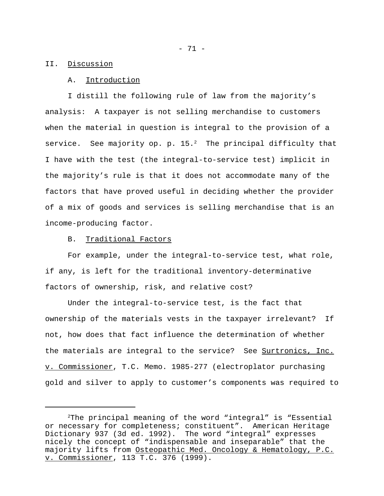## II. Discussion

# A. Introduction

I distill the following rule of law from the majority's analysis: A taxpayer is not selling merchandise to customers when the material in question is integral to the provision of a service. See majority op. p.  $15.^2$  The principal difficulty that I have with the test (the integral-to-service test) implicit in the majority's rule is that it does not accommodate many of the factors that have proved useful in deciding whether the provider of a mix of goods and services is selling merchandise that is an income-producing factor.

#### B. Traditional Factors

For example, under the integral-to-service test, what role, if any, is left for the traditional inventory-determinative factors of ownership, risk, and relative cost?

Under the integral-to-service test, is the fact that ownership of the materials vests in the taxpayer irrelevant? If not, how does that fact influence the determination of whether the materials are integral to the service? See Surtronics, Inc. v. Commissioner, T.C. Memo. 1985-277 (electroplator purchasing gold and silver to apply to customer's components was required to

<sup>2</sup>The principal meaning of the word "integral" is "Essential or necessary for completeness; constituent". American Heritage Dictionary 937 (3d ed. 1992). The word "integral" expresses nicely the concept of "indispensable and inseparable" that the majority lifts from Osteopathic Med. Oncology & Hematology, P.C. v. Commissioner, 113 T.C. 376 (1999).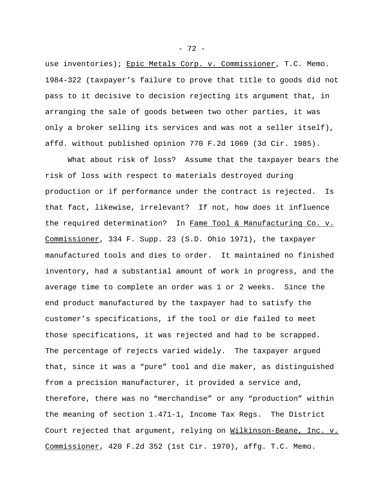use inventories); Epic Metals Corp. v. Commissioner, T.C. Memo. 1984-322 (taxpayer's failure to prove that title to goods did not pass to it decisive to decision rejecting its argument that, in arranging the sale of goods between two other parties, it was only a broker selling its services and was not a seller itself), affd. without published opinion 770 F.2d 1069 (3d Cir. 1985).

What about risk of loss? Assume that the taxpayer bears the risk of loss with respect to materials destroyed during production or if performance under the contract is rejected. Is that fact, likewise, irrelevant? If not, how does it influence the required determination? In Fame Tool & Manufacturing Co. v. Commissioner, 334 F. Supp. 23 (S.D. Ohio 1971), the taxpayer manufactured tools and dies to order. It maintained no finished inventory, had a substantial amount of work in progress, and the average time to complete an order was 1 or 2 weeks. Since the end product manufactured by the taxpayer had to satisfy the customer's specifications, if the tool or die failed to meet those specifications, it was rejected and had to be scrapped. The percentage of rejects varied widely. The taxpayer argued that, since it was a "pure" tool and die maker, as distinguished from a precision manufacturer, it provided a service and, therefore, there was no "merchandise" or any "production" within the meaning of section 1.471-1, Income Tax Regs. The District Court rejected that argument, relying on Wilkinson-Beane, Inc. v. Commissioner, 420 F.2d 352 (1st Cir. 1970), affg. T.C. Memo.

- 72 -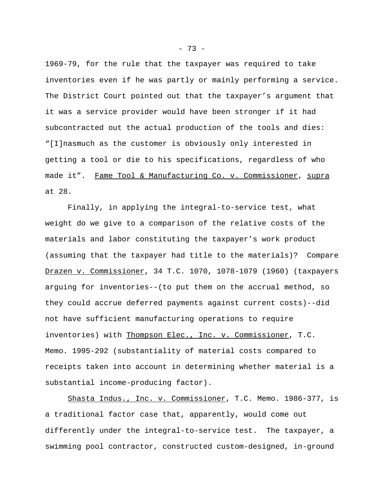1969-79, for the rule that the taxpayer was required to take inventories even if he was partly or mainly performing a service. The District Court pointed out that the taxpayer's argument that it was a service provider would have been stronger if it had subcontracted out the actual production of the tools and dies: "[I]nasmuch as the customer is obviously only interested in getting a tool or die to his specifications, regardless of who made it". Fame Tool & Manufacturing Co. v. Commissioner, supra at 28.

Finally, in applying the integral-to-service test, what weight do we give to a comparison of the relative costs of the materials and labor constituting the taxpayer's work product (assuming that the taxpayer had title to the materials)? Compare Drazen v. Commissioner, 34 T.C. 1070, 1078-1079 (1960) (taxpayers arguing for inventories--(to put them on the accrual method, so they could accrue deferred payments against current costs)--did not have sufficient manufacturing operations to require inventories) with Thompson Elec., Inc. v. Commissioner, T.C. Memo. 1995-292 (substantiality of material costs compared to receipts taken into account in determining whether material is a substantial income-producing factor).

Shasta Indus., Inc. v. Commissioner, T.C. Memo. 1986-377, is a traditional factor case that, apparently, would come out differently under the integral-to-service test. The taxpayer, a swimming pool contractor, constructed custom-designed, in-ground

- 73 -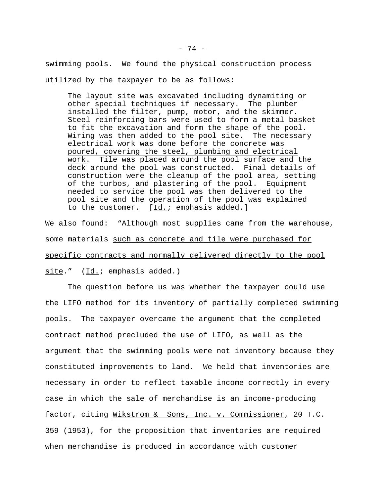swimming pools. We found the physical construction process utilized by the taxpayer to be as follows:

The layout site was excavated including dynamiting or other special techniques if necessary. The plumber installed the filter, pump, motor, and the skimmer. Steel reinforcing bars were used to form a metal basket to fit the excavation and form the shape of the pool. Wiring was then added to the pool site. The necessary electrical work was done before the concrete was poured, covering the steel, plumbing and electrical work. Tile was placed around the pool surface and the deck around the pool was constructed. Final details of construction were the cleanup of the pool area, setting of the turbos, and plastering of the pool. Equipment needed to service the pool was then delivered to the pool site and the operation of the pool was explained to the customer. [Id.; emphasis added.]

We also found: "Although most supplies came from the warehouse, some materials such as concrete and tile were purchased for specific contracts and normally delivered directly to the pool site." (Id.; emphasis added.)

The question before us was whether the taxpayer could use the LIFO method for its inventory of partially completed swimming pools. The taxpayer overcame the argument that the completed contract method precluded the use of LIFO, as well as the argument that the swimming pools were not inventory because they constituted improvements to land. We held that inventories are necessary in order to reflect taxable income correctly in every case in which the sale of merchandise is an income-producing factor, citing Wikstrom & Sons, Inc. v. Commissioner, 20 T.C. 359 (1953), for the proposition that inventories are required when merchandise is produced in accordance with customer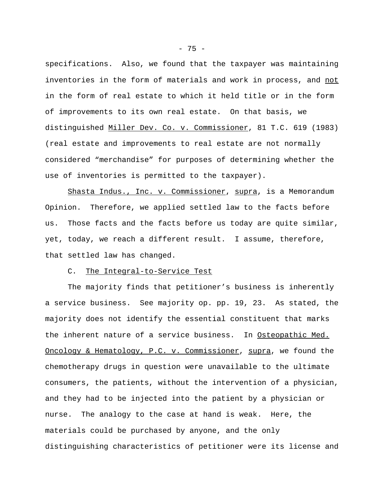specifications. Also, we found that the taxpayer was maintaining inventories in the form of materials and work in process, and not in the form of real estate to which it held title or in the form of improvements to its own real estate. On that basis, we distinguished Miller Dev. Co. v. Commissioner, 81 T.C. 619 (1983) (real estate and improvements to real estate are not normally considered "merchandise" for purposes of determining whether the use of inventories is permitted to the taxpayer).

Shasta Indus., Inc. v. Commissioner, supra, is a Memorandum Opinion. Therefore, we applied settled law to the facts before us. Those facts and the facts before us today are quite similar, yet, today, we reach a different result. I assume, therefore, that settled law has changed.

## C. The Integral-to-Service Test

The majority finds that petitioner's business is inherently a service business. See majority op. pp. 19, 23. As stated, the majority does not identify the essential constituent that marks the inherent nature of a service business. In Osteopathic Med. Oncology & Hematology, P.C. v. Commissioner, supra, we found the chemotherapy drugs in question were unavailable to the ultimate consumers, the patients, without the intervention of a physician, and they had to be injected into the patient by a physician or nurse. The analogy to the case at hand is weak. Here, the materials could be purchased by anyone, and the only distinguishing characteristics of petitioner were its license and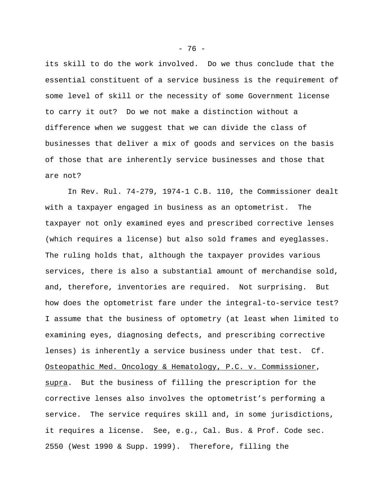its skill to do the work involved. Do we thus conclude that the essential constituent of a service business is the requirement of some level of skill or the necessity of some Government license to carry it out? Do we not make a distinction without a difference when we suggest that we can divide the class of businesses that deliver a mix of goods and services on the basis of those that are inherently service businesses and those that are not?

In Rev. Rul. 74-279, 1974-1 C.B. 110, the Commissioner dealt with a taxpayer engaged in business as an optometrist. The taxpayer not only examined eyes and prescribed corrective lenses (which requires a license) but also sold frames and eyeglasses. The ruling holds that, although the taxpayer provides various services, there is also a substantial amount of merchandise sold, and, therefore, inventories are required. Not surprising. But how does the optometrist fare under the integral-to-service test? I assume that the business of optometry (at least when limited to examining eyes, diagnosing defects, and prescribing corrective lenses) is inherently a service business under that test. Cf. Osteopathic Med. Oncology & Hematology, P.C. v. Commissioner, supra. But the business of filling the prescription for the corrective lenses also involves the optometrist's performing a service. The service requires skill and, in some jurisdictions, it requires a license. See, e.g., Cal. Bus. & Prof. Code sec. 2550 (West 1990 & Supp. 1999). Therefore, filling the

- 76 -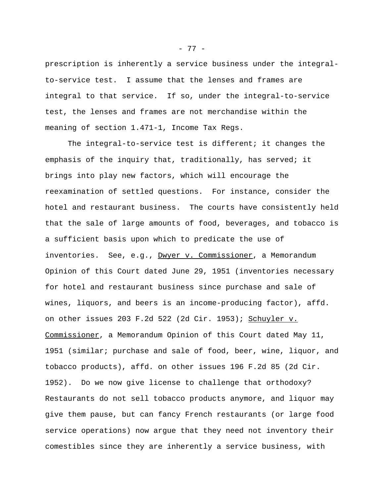prescription is inherently a service business under the integralto-service test. I assume that the lenses and frames are integral to that service. If so, under the integral-to-service test, the lenses and frames are not merchandise within the meaning of section 1.471-1, Income Tax Regs.

The integral-to-service test is different; it changes the emphasis of the inquiry that, traditionally, has served; it brings into play new factors, which will encourage the reexamination of settled questions. For instance, consider the hotel and restaurant business. The courts have consistently held that the sale of large amounts of food, beverages, and tobacco is a sufficient basis upon which to predicate the use of inventories. See, e.g., Dwyer v. Commissioner, a Memorandum Opinion of this Court dated June 29, 1951 (inventories necessary for hotel and restaurant business since purchase and sale of wines, liquors, and beers is an income-producing factor), affd. on other issues 203 F.2d 522 (2d Cir. 1953); Schuyler v. Commissioner, a Memorandum Opinion of this Court dated May 11, 1951 (similar; purchase and sale of food, beer, wine, liquor, and tobacco products), affd. on other issues 196 F.2d 85 (2d Cir. 1952). Do we now give license to challenge that orthodoxy? Restaurants do not sell tobacco products anymore, and liquor may give them pause, but can fancy French restaurants (or large food service operations) now argue that they need not inventory their comestibles since they are inherently a service business, with